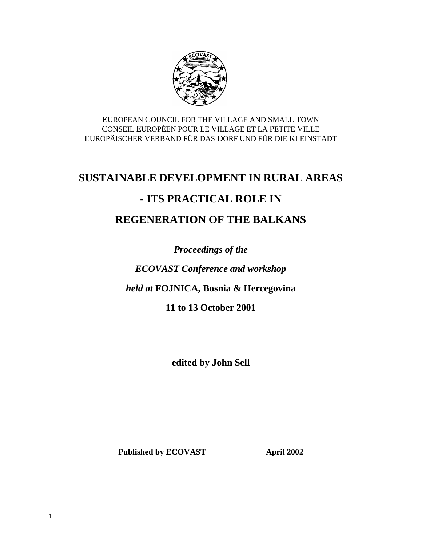

EUROPEAN COUNCIL FOR THE VILLAGE AND SMALL TOWN CONSEIL EUROPÉEN POUR LE VILLAGE ET LA PETITE VILLE EUROPÄISCHER VERBAND FÜR DAS DORF UND FÜR DIE KLEINSTADT

# **SUSTAINABLE DEVELOPMENT IN RURAL AREAS**

# **- ITS PRACTICAL ROLE IN**

# **REGENERATION OF THE BALKANS**

*Proceedings of the*

*ECOVAST Conference and workshop*

*held at* **FOJNICA, Bosnia & Hercegovina**

**11 to 13 October 2001**

**edited by John Sell**

Published by ECOVAST **April 2002**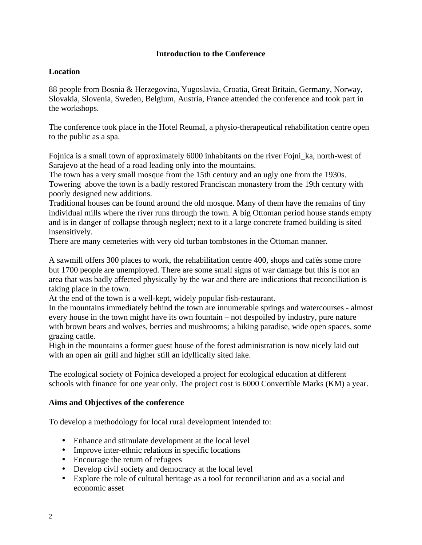#### **Introduction to the Conference**

#### **Location**

88 people from Bosnia & Herzegovina, Yugoslavia, Croatia, Great Britain, Germany, Norway, Slovakia, Slovenia, Sweden, Belgium, Austria, France attended the conference and took part in the workshops.

The conference took place in the Hotel Reumal, a physio-therapeutical rehabilitation centre open to the public as a spa.

Fojnica is a small town of approximately 6000 inhabitants on the river Fojni\_ka, north-west of Sarajevo at the head of a road leading only into the mountains.

The town has a very small mosque from the 15th century and an ugly one from the 1930s. Towering above the town is a badly restored Franciscan monastery from the 19th century with poorly designed new additions.

Traditional houses can be found around the old mosque. Many of them have the remains of tiny individual mills where the river runs through the town. A big Ottoman period house stands empty and is in danger of collapse through neglect; next to it a large concrete framed building is sited insensitively.

There are many cemeteries with very old turban tombstones in the Ottoman manner.

A sawmill offers 300 places to work, the rehabilitation centre 400, shops and cafés some more but 1700 people are unemployed. There are some small signs of war damage but this is not an area that was badly affected physically by the war and there are indications that reconciliation is taking place in the town.

At the end of the town is a well-kept, widely popular fish-restaurant.

In the mountains immediately behind the town are innumerable springs and watercourses - almost every house in the town might have its own fountain – not despoiled by industry, pure nature with brown bears and wolves, berries and mushrooms; a hiking paradise, wide open spaces, some grazing cattle.

High in the mountains a former guest house of the forest administration is now nicely laid out with an open air grill and higher still an idyllically sited lake.

The ecological society of Fojnica developed a project for ecological education at different schools with finance for one year only. The project cost is 6000 Convertible Marks (KM) a year.

#### **Aims and Objectives of the conference**

To develop a methodology for local rural development intended to:

- Enhance and stimulate development at the local level
- Improve inter-ethnic relations in specific locations
- Encourage the return of refugees
- Develop civil society and democracy at the local level
- Explore the role of cultural heritage as a tool for reconciliation and as a social and economic asset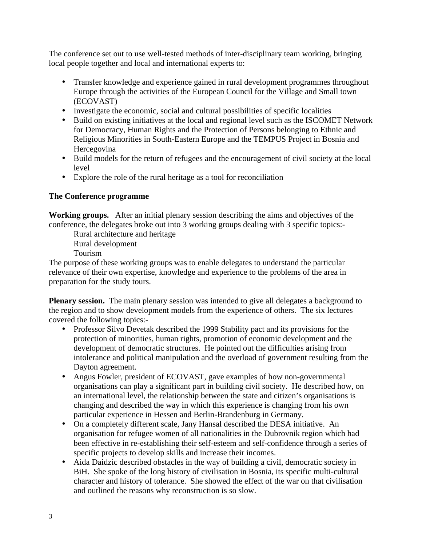The conference set out to use well-tested methods of inter-disciplinary team working, bringing local people together and local and international experts to:

- Transfer knowledge and experience gained in rural development programmes throughout Europe through the activities of the European Council for the Village and Small town (ECOVAST)
- Investigate the economic, social and cultural possibilities of specific localities
- Build on existing initiatives at the local and regional level such as the ISCOMET Network for Democracy, Human Rights and the Protection of Persons belonging to Ethnic and Religious Minorities in South-Eastern Europe and the TEMPUS Project in Bosnia and Hercegovina
- Build models for the return of refugees and the encouragement of civil society at the local level
- Explore the role of the rural heritage as a tool for reconciliation

# **The Conference programme**

**Working groups.** After an initial plenary session describing the aims and objectives of the conference, the delegates broke out into 3 working groups dealing with 3 specific topics:-

Rural architecture and heritage

Rural development

Tourism

The purpose of these working groups was to enable delegates to understand the particular relevance of their own expertise, knowledge and experience to the problems of the area in preparation for the study tours.

**Plenary session.** The main plenary session was intended to give all delegates a background to the region and to show development models from the experience of others. The six lectures covered the following topics:-

- Professor Silvo Devetak described the 1999 Stability pact and its provisions for the protection of minorities, human rights, promotion of economic development and the development of democratic structures. He pointed out the difficulties arising from intolerance and political manipulation and the overload of government resulting from the Dayton agreement.
- Angus Fowler, president of ECOVAST, gave examples of how non-governmental organisations can play a significant part in building civil society. He described how, on an international level, the relationship between the state and citizen's organisations is changing and described the way in which this experience is changing from his own particular experience in Hessen and Berlin-Brandenburg in Germany.
- On a completely different scale, Jany Hansal described the DESA initiative. An organisation for refugee women of all nationalities in the Dubrovnik region which had been effective in re-establishing their self-esteem and self-confidence through a series of specific projects to develop skills and increase their incomes.
- Aida Daidzic described obstacles in the way of building a civil, democratic society in BiH. She spoke of the long history of civilisation in Bosnia, its specific multi-cultural character and history of tolerance. She showed the effect of the war on that civilisation and outlined the reasons why reconstruction is so slow.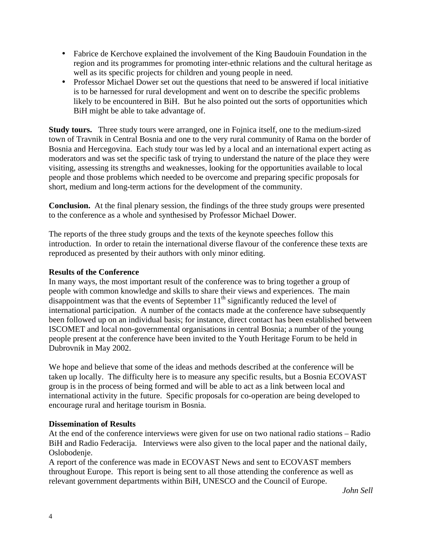- Fabrice de Kerchove explained the involvement of the King Baudouin Foundation in the region and its programmes for promoting inter-ethnic relations and the cultural heritage as well as its specific projects for children and young people in need.
- Professor Michael Dower set out the questions that need to be answered if local initiative is to be harnessed for rural development and went on to describe the specific problems likely to be encountered in BiH. But he also pointed out the sorts of opportunities which BiH might be able to take advantage of.

**Study tours.** Three study tours were arranged, one in Fojnica itself, one to the medium-sized town of Travnik in Central Bosnia and one to the very rural community of Rama on the border of Bosnia and Hercegovina. Each study tour was led by a local and an international expert acting as moderators and was set the specific task of trying to understand the nature of the place they were visiting, assessing its strengths and weaknesses, looking for the opportunities available to local people and those problems which needed to be overcome and preparing specific proposals for short, medium and long-term actions for the development of the community.

**Conclusion.** At the final plenary session, the findings of the three study groups were presented to the conference as a whole and synthesised by Professor Michael Dower.

The reports of the three study groups and the texts of the keynote speeches follow this introduction. In order to retain the international diverse flavour of the conference these texts are reproduced as presented by their authors with only minor editing.

#### **Results of the Conference**

In many ways, the most important result of the conference was to bring together a group of people with common knowledge and skills to share their views and experiences. The main disappointment was that the events of September  $11<sup>th</sup>$  significantly reduced the level of international participation. A number of the contacts made at the conference have subsequently been followed up on an individual basis; for instance, direct contact has been established between ISCOMET and local non-governmental organisations in central Bosnia; a number of the young people present at the conference have been invited to the Youth Heritage Forum to be held in Dubrovnik in May 2002.

We hope and believe that some of the ideas and methods described at the conference will be taken up locally. The difficulty here is to measure any specific results, but a Bosnia ECOVAST group is in the process of being formed and will be able to act as a link between local and international activity in the future. Specific proposals for co-operation are being developed to encourage rural and heritage tourism in Bosnia.

## **Dissemination of Results**

At the end of the conference interviews were given for use on two national radio stations – Radio BiH and Radio Federacija. Interviews were also given to the local paper and the national daily, Oslobodenje.

A report of the conference was made in ECOVAST News and sent to ECOVAST members throughout Europe. This report is being sent to all those attending the conference as well as relevant government departments within BiH, UNESCO and the Council of Europe.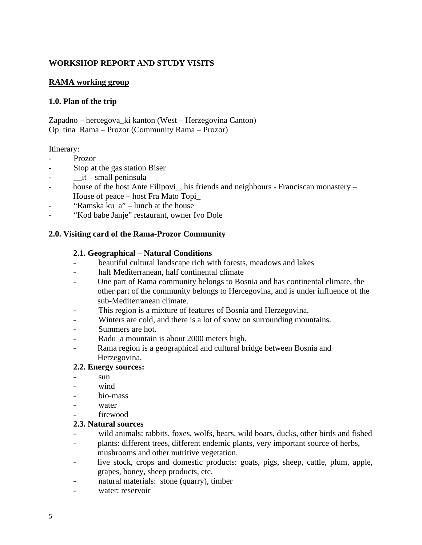## **WORKSHOP REPORT AND STUDY VISITS**

#### **RAMA working group**

#### **1.0. Plan of the trip**

Zapadno – hercegova\_ki kanton (West – Herzegovina Canton) Op\_tina Rama – Prozor (Community Rama – Prozor)

#### Itinerary:

- Prozor
- Stop at the gas station Biser
- $\pm$ it small peninsula
- house of the host Ante Filipovi\_, his friends and neighbours Franciscan monastery House of peace – host Fra Mato Topi\_
- "Ramska ku $a$ " lunch at the house
- "Kod babe Janje" restaurant, owner Ivo Dole

#### **2.0. Visiting card of the Rama-Prozor Community**

#### **2.1. Geographical – Natural Conditions**

- beautiful cultural landscape rich with forests, meadows and lakes
- half Mediterranean, half continental climate
- One part of Rama community belongs to Bosnia and has continental climate, the other part of the community belongs to Hercegovina, and is under influence of the sub-Mediterranean climate.
- This region is a mixture of features of Bosnia and Herzegovina.
- Winters are cold, and there is a lot of snow on surrounding mountains.
- Summers are hot.
- Radu\_a mountain is about 2000 meters high.
- Rama region is a geographical and cultural bridge between Bosnia and Herzegovina.

#### **2.2. Energy sources:**

- sun.
- wind
- bio-mass
- water
- firewood

#### **2.3. Natural sources**

- wild animals: rabbits, foxes, wolfs, bears, wild boars, ducks, other birds and fished
- plants: different trees, different endemic plants, very important source of herbs, mushrooms and other nutritive vegetation.
- live stock, crops and domestic products: goats, pigs, sheep, cattle, plum, apple, grapes, honey, sheep products, etc.
- natural materials: stone (quarry), timber
- water: reservoir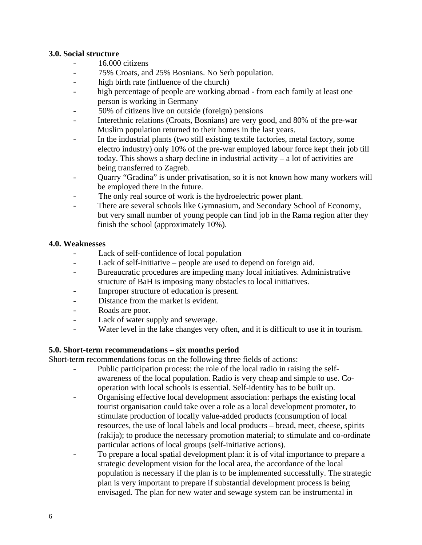#### **3.0. Social structure**

- 16.000 citizens
- 75% Croats, and 25% Bosnians. No Serb population.
- high birth rate (influence of the church)
- high percentage of people are working abroad from each family at least one person is working in Germany
- 50% of citizens live on outside (foreign) pensions
- Interethnic relations (Croats, Bosnians) are very good, and 80% of the pre-war Muslim population returned to their homes in the last years.
- In the industrial plants (two still existing textile factories, metal factory, some electro industry) only 10% of the pre-war employed labour force kept their job till today. This shows a sharp decline in industrial activity – a lot of activities are being transferred to Zagreb.
- Quarry "Gradina" is under privatisation, so it is not known how many workers will be employed there in the future.
- The only real source of work is the hydroelectric power plant.
- There are several schools like Gymnasium, and Secondary School of Economy, but very small number of young people can find job in the Rama region after they finish the school (approximately 10%).

#### **4.0. Weaknesses**

- Lack of self-confidence of local population
- Lack of self-initiative people are used to depend on foreign aid.
- Bureaucratic procedures are impeding many local initiatives. Administrative structure of BaH is imposing many obstacles to local initiatives.
- Improper structure of education is present.
- Distance from the market is evident.
- Roads are poor.
- Lack of water supply and sewerage.
- Water level in the lake changes very often, and it is difficult to use it in tourism.

#### **5.0. Short-term recommendations – six months period**

Short-term recommendations focus on the following three fields of actions:

- Public participation process: the role of the local radio in raising the selfawareness of the local population. Radio is very cheap and simple to use. Cooperation with local schools is essential. Self-identity has to be built up.
- Organising effective local development association: perhaps the existing local tourist organisation could take over a role as a local development promoter, to stimulate production of locally value-added products (consumption of local resources, the use of local labels and local products – bread, meet, cheese, spirits (rakija); to produce the necessary promotion material; to stimulate and co-ordinate particular actions of local groups (self-initiative actions).
- To prepare a local spatial development plan: it is of vital importance to prepare a strategic development vision for the local area, the accordance of the local population is necessary if the plan is to be implemented successfully. The strategic plan is very important to prepare if substantial development process is being envisaged. The plan for new water and sewage system can be instrumental in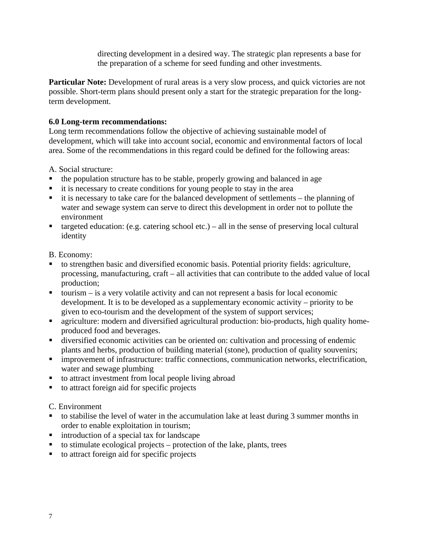directing development in a desired way. The strategic plan represents a base for the preparation of a scheme for seed funding and other investments.

**Particular Note:** Development of rural areas is a very slow process, and quick victories are not possible. Short-term plans should present only a start for the strategic preparation for the longterm development.

## **6.0 Long-term recommendations:**

Long term recommendations follow the objective of achieving sustainable model of development, which will take into account social, economic and environmental factors of local area. Some of the recommendations in this regard could be defined for the following areas:

A. Social structure:

- the population structure has to be stable, properly growing and balanced in age
- $\blacksquare$  it is necessary to create conditions for young people to stay in the area
- $\blacksquare$  it is necessary to take care for the balanced development of settlements the planning of water and sewage system can serve to direct this development in order not to pollute the environment
- $\blacksquare$  targeted education: (e.g. catering school etc.) all in the sense of preserving local cultural identity

B. Economy:

- to strengthen basic and diversified economic basis. Potential priority fields: agriculture, processing, manufacturing, craft – all activities that can contribute to the added value of local production;
- $\bullet$  tourism is a very volatile activity and can not represent a basis for local economic development. It is to be developed as a supplementary economic activity – priority to be given to eco-tourism and the development of the system of support services;
- **agriculture:** modern and diversified agricultural production: bio-products, high quality homeproduced food and beverages.
- **IDED** diversified economic activities can be oriented on: cultivation and processing of endemic plants and herbs, production of building material (stone), production of quality souvenirs;
- **IDED** improvement of infrastructure: traffic connections, communication networks, electrification, water and sewage plumbing
- to attract investment from local people living abroad
- $\blacksquare$  to attract foreign aid for specific projects

C. Environment

- ß to stabilise the level of water in the accumulation lake at least during 3 summer months in order to enable exploitation in tourism;
- $\blacksquare$  introduction of a special tax for landscape
- $\bullet$  to stimulate ecological projects protection of the lake, plants, trees
- $\blacksquare$  to attract foreign aid for specific projects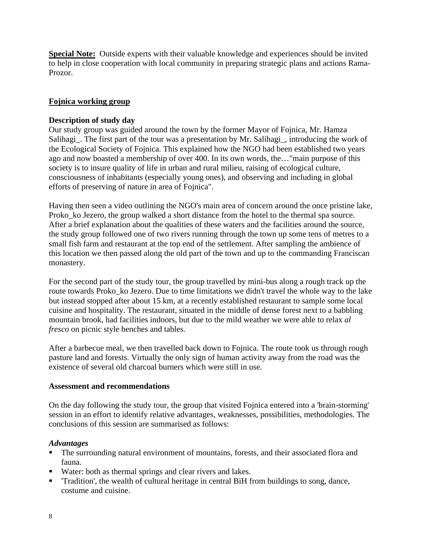**Special Note:** Outside experts with their valuable knowledge and experiences should be invited to help in close cooperation with local community in preparing strategic plans and actions Rama-Prozor.

#### **Fojnica working group**

#### **Description of study day**

Our study group was guided around the town by the former Mayor of Fojnica, Mr. Hamza Salihagi\_. The first part of the tour was a presentation by Mr. Salihagi\_, introducing the work of the Ecological Society of Fojnica. This explained how the NGO had been established two years ago and now boasted a membership of over 400. In its own words, the…"main purpose of this society is to insure quality of life in urban and rural milieu, raising of ecological culture, consciousness of inhabitants (especially young ones), and observing and including in global efforts of preserving of nature in area of Fojnica".

Having then seen a video outlining the NGO's main area of concern around the once pristine lake, Proko\_ko Jezero, the group walked a short distance from the hotel to the thermal spa source. After a brief explanation about the qualities of these waters and the facilities around the source, the study group followed one of two rivers running through the town up some tens of metres to a small fish farm and restaurant at the top end of the settlement. After sampling the ambience of this location we then passed along the old part of the town and up to the commanding Franciscan monastery.

For the second part of the study tour, the group travelled by mini-bus along a rough track up the route towards Proko\_ko Jezero. Due to time limitations we didn't travel the whole way to the lake but instead stopped after about 15 km, at a recently established restaurant to sample some local cuisine and hospitality. The restaurant, situated in the middle of dense forest next to a babbling mountain brook, had facilities indoors, but due to the mild weather we were able to relax *al fresco* on picnic style benches and tables.

After a barbecue meal, we then travelled back down to Fojnica. The route took us through rough pasture land and forests. Virtually the only sign of human activity away from the road was the existence of several old charcoal burners which were still in use.

#### **Assessment and recommendations**

On the day following the study tour, the group that visited Fojnica entered into a 'brain-storming' session in an effort to identify relative advantages, weaknesses, possibilities, methodologies. The conclusions of this session are summarised as follows:

#### *Advantages*

- The surrounding natural environment of mountains, forests, and their associated flora and fauna.
- Water: both as thermal springs and clear rivers and lakes.
- **Tradition', the wealth of cultural heritage in central BiH from buildings to song, dance,** costume and cuisine.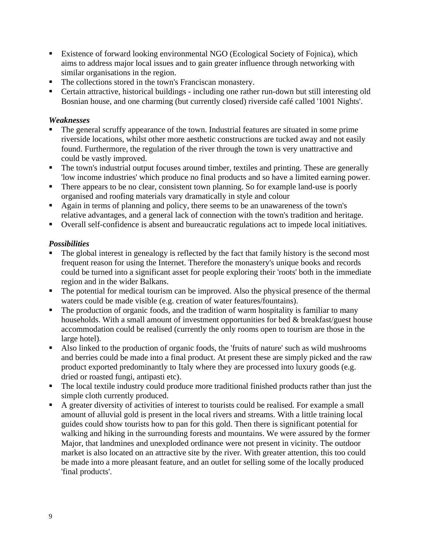- **Existence of forward looking environmental NGO (Ecological Society of Fojnica), which** aims to address major local issues and to gain greater influence through networking with similar organisations in the region.
- The collections stored in the town's Franciscan monastery.
- ß Certain attractive, historical buildings including one rather run-down but still interesting old Bosnian house, and one charming (but currently closed) riverside café called '1001 Nights'.

# *Weaknesses*

- ß The general scruffy appearance of the town. Industrial features are situated in some prime riverside locations, whilst other more aesthetic constructions are tucked away and not easily found. Furthermore, the regulation of the river through the town is very unattractive and could be vastly improved.
- The town's industrial output focuses around timber, textiles and printing. These are generally 'low income industries' which produce no final products and so have a limited earning power.
- There appears to be no clear, consistent town planning. So for example land-use is poorly organised and roofing materials vary dramatically in style and colour
- Again in terms of planning and policy, there seems to be an unawareness of the town's relative advantages, and a general lack of connection with the town's tradition and heritage.
- Overall self-confidence is absent and bureaucratic regulations act to impede local initiatives.

# *Possibilities*

- The global interest in genealogy is reflected by the fact that family history is the second most frequent reason for using the Internet. Therefore the monastery's unique books and records could be turned into a significant asset for people exploring their 'roots' both in the immediate region and in the wider Balkans.
- The potential for medical tourism can be improved. Also the physical presence of the thermal waters could be made visible (e.g. creation of water features/fountains).
- The production of organic foods, and the tradition of warm hospitality is familiar to many households. With a small amount of investment opportunities for bed & breakfast/guest house accommodation could be realised (currently the only rooms open to tourism are those in the large hotel).
- Also linked to the production of organic foods, the 'fruits of nature' such as wild mushrooms and berries could be made into a final product. At present these are simply picked and the raw product exported predominantly to Italy where they are processed into luxury goods (e.g. dried or roasted fungi, antipasti etc).
- The local textile industry could produce more traditional finished products rather than just the simple cloth currently produced.
- A greater diversity of activities of interest to tourists could be realised. For example a small amount of alluvial gold is present in the local rivers and streams. With a little training local guides could show tourists how to pan for this gold. Then there is significant potential for walking and hiking in the surrounding forests and mountains. We were assured by the former Major, that landmines and unexploded ordinance were not present in vicinity. The outdoor market is also located on an attractive site by the river. With greater attention, this too could be made into a more pleasant feature, and an outlet for selling some of the locally produced 'final products'.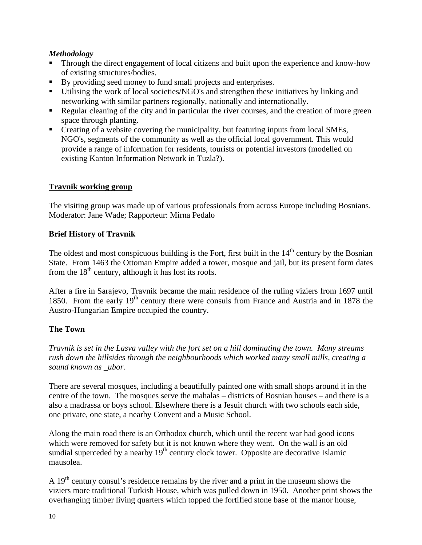# *Methodology*

- ß Through the direct engagement of local citizens and built upon the experience and know-how of existing structures/bodies.
- By providing seed money to fund small projects and enterprises.
- Utilising the work of local societies/NGO's and strengthen these initiatives by linking and networking with similar partners regionally, nationally and internationally.
- Regular cleaning of the city and in particular the river courses, and the creation of more green space through planting.
- Creating of a website covering the municipality, but featuring inputs from local SMEs, NGO's, segments of the community as well as the official local government. This would provide a range of information for residents, tourists or potential investors (modelled on existing Kanton Information Network in Tuzla?).

# **Travnik working group**

The visiting group was made up of various professionals from across Europe including Bosnians. Moderator: Jane Wade; Rapporteur: Mirna Pedalo

# **Brief History of Travnik**

The oldest and most conspicuous building is the Fort, first built in the  $14<sup>th</sup>$  century by the Bosnian State. From 1463 the Ottoman Empire added a tower, mosque and jail, but its present form dates from the  $18<sup>th</sup>$  century, although it has lost its roofs.

After a fire in Sarajevo, Travnik became the main residence of the ruling viziers from 1697 until 1850. From the early  $19<sup>th</sup>$  century there were consuls from France and Austria and in 1878 the Austro-Hungarian Empire occupied the country.

# **The Town**

*Travnik is set in the Lasva valley with the fort set on a hill dominating the town. Many streams rush down the hillsides through the neighbourhoods which worked many small mills, creating a sound known as \_ubor.*

There are several mosques, including a beautifully painted one with small shops around it in the centre of the town. The mosques serve the mahalas – districts of Bosnian houses – and there is a also a madrassa or boys school. Elsewhere there is a Jesuit church with two schools each side, one private, one state, a nearby Convent and a Music School.

Along the main road there is an Orthodox church, which until the recent war had good icons which were removed for safety but it is not known where they went. On the wall is an old sundial superceded by a nearby  $19<sup>th</sup>$  century clock tower. Opposite are decorative Islamic mausolea.

A 19<sup>th</sup> century consul's residence remains by the river and a print in the museum shows the viziers more traditional Turkish House, which was pulled down in 1950. Another print shows the overhanging timber living quarters which topped the fortified stone base of the manor house,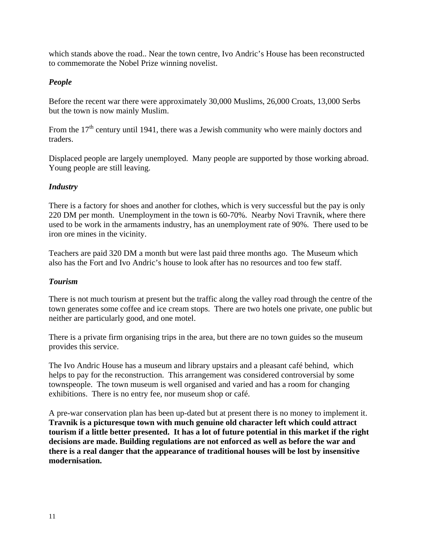which stands above the road.. Near the town centre, Ivo Andric's House has been reconstructed to commemorate the Nobel Prize winning novelist.

### *People*

Before the recent war there were approximately 30,000 Muslims, 26,000 Croats, 13,000 Serbs but the town is now mainly Muslim.

From the  $17<sup>th</sup>$  century until 1941, there was a Jewish community who were mainly doctors and traders.

Displaced people are largely unemployed. Many people are supported by those working abroad. Young people are still leaving.

## *Industry*

There is a factory for shoes and another for clothes, which is very successful but the pay is only 220 DM per month. Unemployment in the town is 60-70%. Nearby Novi Travnik, where there used to be work in the armaments industry, has an unemployment rate of 90%. There used to be iron ore mines in the vicinity.

Teachers are paid 320 DM a month but were last paid three months ago. The Museum which also has the Fort and Ivo Andric's house to look after has no resources and too few staff.

#### *Tourism*

There is not much tourism at present but the traffic along the valley road through the centre of the town generates some coffee and ice cream stops. There are two hotels one private, one public but neither are particularly good, and one motel.

There is a private firm organising trips in the area, but there are no town guides so the museum provides this service.

The Ivo Andric House has a museum and library upstairs and a pleasant café behind, which helps to pay for the reconstruction. This arrangement was considered controversial by some townspeople. The town museum is well organised and varied and has a room for changing exhibitions. There is no entry fee, nor museum shop or café.

A pre-war conservation plan has been up-dated but at present there is no money to implement it. **Travnik is a picturesque town with much genuine old character left which could attract tourism if a little better presented. It has a lot of future potential in this market if the right decisions are made. Building regulations are not enforced as well as before the war and there is a real danger that the appearance of traditional houses will be lost by insensitive modernisation.**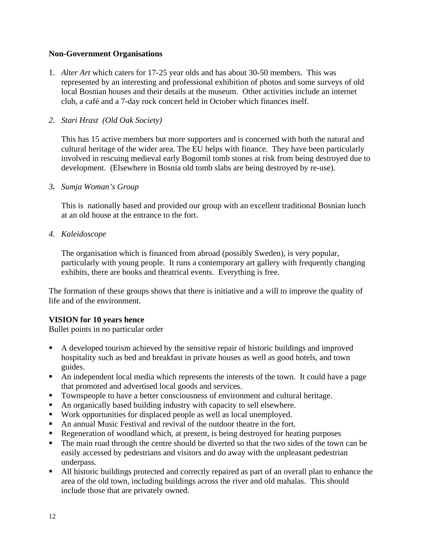#### **Non-Government Organisations**

1. *Alter Art* which caters for 17-25 year olds and has about 30-50 members. This was represented by an interesting and professional exhibition of photos and some surveys of old local Bosnian houses and their details at the museum. Other activities include an internet club, a café and a 7-day rock concert held in October which finances itself.

#### *2. Stari Hrast (Old Oak Society)*

This has 15 active members but more supporters and is concerned with both the natural and cultural heritage of the wider area. The EU helps with finance. They have been particularly involved in rescuing medieval early Bogomil tomb stones at risk from being destroyed due to development. (Elsewhere in Bosnia old tomb slabs are being destroyed by re-use).

#### *3. Sumja Woman's Group*

This is nationally based and provided our group with an excellent traditional Bosnian lunch at an old house at the entrance to the fort.

*4. Kaleidoscope*

The organisation which is financed from abroad (possibly Sweden), is very popular, particularly with young people. It runs a contemporary art gallery with frequently changing exhibits, there are books and theatrical events. Everything is free.

The formation of these groups shows that there is initiative and a will to improve the quality of life and of the environment.

## **VISION for 10 years hence**

Bullet points in no particular order

- ß A developed tourism achieved by the sensitive repair of historic buildings and improved hospitality such as bed and breakfast in private houses as well as good hotels, and town guides.
- An independent local media which represents the interests of the town. It could have a page that promoted and advertised local goods and services.
- Townspeople to have a better consciousness of environment and cultural heritage.
- An organically based building industry with capacity to sell elsewhere.
- Work opportunities for displaced people as well as local unemployed.
- An annual Music Festival and revival of the outdoor theatre in the fort.
- Regeneration of woodland which, at present, is being destroyed for heating purposes
- The main road through the centre should be diverted so that the two sides of the town can be easily accessed by pedestrians and visitors and do away with the unpleasant pedestrian underpass.
- If All historic buildings protected and correctly repaired as part of an overall plan to enhance the area of the old town, including buildings across the river and old mahalas. This should include those that are privately owned.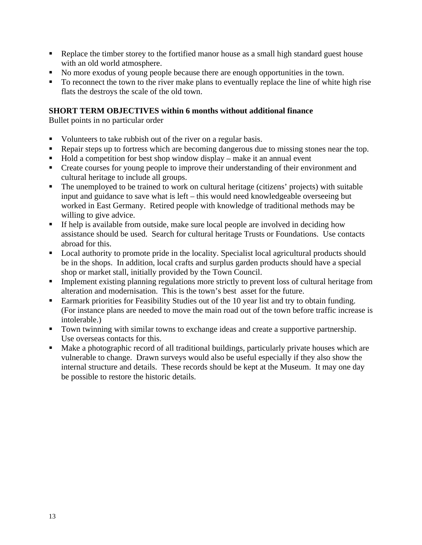- Replace the timber storey to the fortified manor house as a small high standard guest house with an old world atmosphere.
- No more exodus of young people because there are enough opportunities in the town.
- $\blacksquare$  To reconnect the town to the river make plans to eventually replace the line of white high rise flats the destroys the scale of the old town.

# **SHORT TERM OBJECTIVES within 6 months without additional finance**

Bullet points in no particular order

- Updinate Volunteers to take rubbish out of the river on a regular basis.
- Repair steps up to fortress which are becoming dangerous due to missing stones near the top.
- $\blacksquare$  Hold a competition for best shop window display make it an annual event
- Create courses for young people to improve their understanding of their environment and cultural heritage to include all groups.
- The unemployed to be trained to work on cultural heritage (citizens' projects) with suitable input and guidance to save what is left – this would need knowledgeable overseeing but worked in East Germany. Retired people with knowledge of traditional methods may be willing to give advice.
- $\blacksquare$  If help is available from outside, make sure local people are involved in deciding how assistance should be used. Search for cultural heritage Trusts or Foundations. Use contacts abroad for this.
- Local authority to promote pride in the locality. Specialist local agricultural products should be in the shops. In addition, local crafts and surplus garden products should have a special shop or market stall, initially provided by the Town Council.
- **Implement existing planning regulations more strictly to prevent loss of cultural heritage from** alteration and modernisation. This is the town's best asset for the future.
- Earmark priorities for Feasibility Studies out of the 10 year list and try to obtain funding. (For instance plans are needed to move the main road out of the town before traffic increase is intolerable.)
- **Town twinning with similar towns to exchange ideas and create a supportive partnership.** Use overseas contacts for this.
- Make a photographic record of all traditional buildings, particularly private houses which are vulnerable to change. Drawn surveys would also be useful especially if they also show the internal structure and details. These records should be kept at the Museum. It may one day be possible to restore the historic details.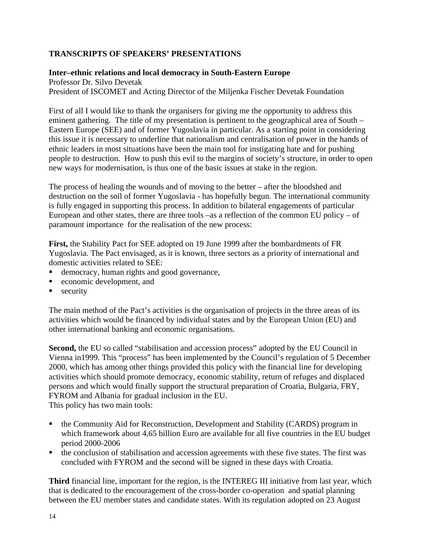## **TRANSCRIPTS OF SPEAKERS' PRESENTATIONS**

## **Inter–ethnic relations and local democracy in South-Eastern Europe**

Professor Dr. Silvo Devetak President of ISCOMET and Acting Director of the Miljenka Fischer Devetak Foundation

First of all I would like to thank the organisers for giving me the opportunity to address this eminent gathering. The title of my presentation is pertinent to the geographical area of South – Eastern Europe (SEE) and of former Yugoslavia in particular. As a starting point in considering this issue it is necessary to underline that nationalism and centralisation of power in the hands of ethnic leaders in most situations have been the main tool for instigating hate and for pushing people to destruction. How to push this evil to the margins of society's structure, in order to open new ways for modernisation, is thus one of the basic issues at stake in the region.

The process of healing the wounds and of moving to the better – after the bloodshed and destruction on the soil of former Yugoslavia - has hopefully begun. The international community is fully engaged in supporting this process. In addition to bilateral engagements of particular European and other states, there are three tools –as a reflection of the common EU policy – of paramount importance for the realisation of the new process:

**First,** the Stability Pact for SEE adopted on 19 June 1999 after the bombardments of FR Yugoslavia. The Pact envisaged, as it is known, three sectors as a priority of international and domestic activities related to SEE:

- ß democracy, human rights and good governance,
- $\blacksquare$  economic development, and
- security

The main method of the Pact's activities is the organisation of projects in the three areas of its activities which would be financed by individual states and by the European Union (EU) and other international banking and economic organisations.

Second, the EU so called "stabilisation and accession process" adopted by the EU Council in Vienna in1999. This "process" has been implemented by the Council's regulation of 5 December 2000, which has among other things provided this policy with the financial line for developing activities which should promote democracy, economic stability, return of refuges and displaced persons and which would finally support the structural preparation of Croatia, Bulgaria, FRY, FYROM and Albania for gradual inclusion in the EU. This policy has two main tools:

• the Community Aid for Reconstruction, Development and Stability (CARDS) program in which framework about 4,65 billion Euro are available for all five countries in the EU budget period 2000-2006

 $\blacksquare$  the conclusion of stabilisation and accession agreements with these five states. The first was concluded with FYROM and the second will be signed in these days with Croatia.

**Third** financial line, important for the region, is the INTEREG III initiative from last year, which that is dedicated to the encouragement of the cross-border co-operation and spatial planning between the EU member states and candidate states. With its regulation adopted on 23 August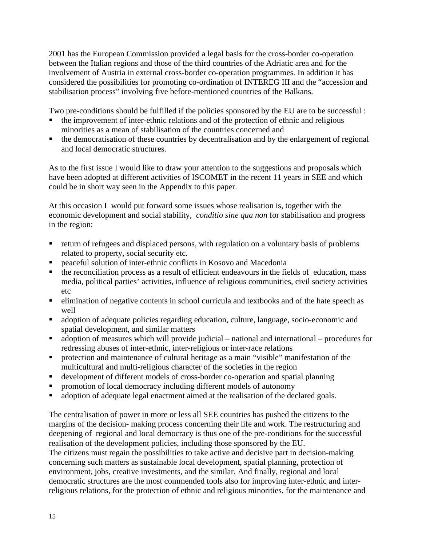2001 has the European Commission provided a legal basis for the cross-border co-operation between the Italian regions and those of the third countries of the Adriatic area and for the involvement of Austria in external cross-border co-operation programmes. In addition it has considered the possibilities for promoting co-ordination of INTEREG III and the "accession and stabilisation process" involving five before-mentioned countries of the Balkans.

Two pre-conditions should be fulfilled if the policies sponsored by the EU are to be successful :

- ß the improvement of inter-ethnic relations and of the protection of ethnic and religious minorities as a mean of stabilisation of the countries concerned and
- ß the democratisation of these countries by decentralisation and by the enlargement of regional and local democratic structures.

As to the first issue I would like to draw your attention to the suggestions and proposals which have been adopted at different activities of ISCOMET in the recent 11 years in SEE and which could be in short way seen in the Appendix to this paper.

At this occasion I would put forward some issues whose realisation is, together with the economic development and social stability, *conditio sine qua non* for stabilisation and progress in the region:

- ß return of refugees and displaced persons, with regulation on a voluntary basis of problems related to property, social security etc.
- ß peaceful solution of inter-ethnic conflicts in Kosovo and Macedonia
- $\blacksquare$  the reconciliation process as a result of efficient endeavours in the fields of education, mass media, political parties' activities, influence of religious communities, civil society activities etc
- elimination of negative contents in school curricula and textbooks and of the hate speech as well
- ß adoption of adequate policies regarding education, culture, language, socio-economic and spatial development, and similar matters
- $\blacksquare$  adoption of measures which will provide judicial national and international procedures for redressing abuses of inter-ethnic, inter-religious or inter-race relations
- **•** protection and maintenance of cultural heritage as a main "visible" manifestation of the multicultural and multi-religious character of the societies in the region
- ß development of different models of cross-border co-operation and spatial planning
- ß promotion of local democracy including different models of autonomy
- adoption of adequate legal enactment aimed at the realisation of the declared goals.

The centralisation of power in more or less all SEE countries has pushed the citizens to the margins of the decision- making process concerning their life and work. The restructuring and deepening of regional and local democracy is thus one of the pre-conditions for the successful realisation of the development policies, including those sponsored by the EU.

The citizens must regain the possibilities to take active and decisive part in decision-making concerning such matters as sustainable local development, spatial planning, protection of environment, jobs, creative investments, and the similar. And finally, regional and local democratic structures are the most commended tools also for improving inter-ethnic and interreligious relations, for the protection of ethnic and religious minorities, for the maintenance and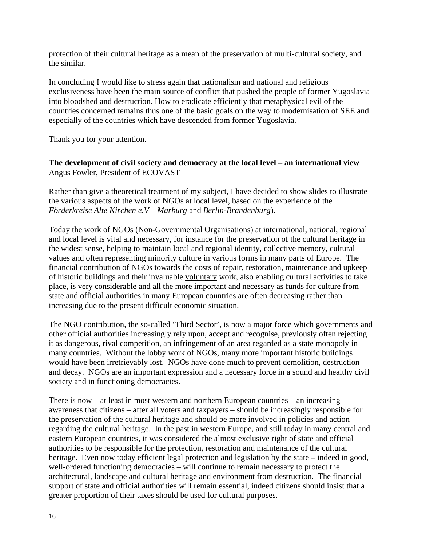protection of their cultural heritage as a mean of the preservation of multi-cultural society, and the similar.

In concluding I would like to stress again that nationalism and national and religious exclusiveness have been the main source of conflict that pushed the people of former Yugoslavia into bloodshed and destruction. How to eradicate efficiently that metaphysical evil of the countries concerned remains thus one of the basic goals on the way to modernisation of SEE and especially of the countries which have descended from former Yugoslavia.

Thank you for your attention.

## **The development of civil society and democracy at the local level – an international view** Angus Fowler, President of ECOVAST

Rather than give a theoretical treatment of my subject, I have decided to show slides to illustrate the various aspects of the work of NGOs at local level, based on the experience of the *Förderkreise Alte Kirchen e.V – Marburg* and *Berlin-Brandenburg*).

Today the work of NGOs (Non-Governmental Organisations) at international, national, regional and local level is vital and necessary, for instance for the preservation of the cultural heritage in the widest sense, helping to maintain local and regional identity, collective memory, cultural values and often representing minority culture in various forms in many parts of Europe. The financial contribution of NGOs towards the costs of repair, restoration, maintenance and upkeep of historic buildings and their invaluable voluntary work, also enabling cultural activities to take place, is very considerable and all the more important and necessary as funds for culture from state and official authorities in many European countries are often decreasing rather than increasing due to the present difficult economic situation.

The NGO contribution, the so-called 'Third Sector', is now a major force which governments and other official authorities increasingly rely upon, accept and recognise, previously often rejecting it as dangerous, rival competition, an infringement of an area regarded as a state monopoly in many countries. Without the lobby work of NGOs, many more important historic buildings would have been irretrievably lost. NGOs have done much to prevent demolition, destruction and decay. NGOs are an important expression and a necessary force in a sound and healthy civil society and in functioning democracies.

There is now  $-$  at least in most western and northern European countries  $-$  an increasing awareness that citizens – after all voters and taxpayers – should be increasingly responsible for the preservation of the cultural heritage and should be more involved in policies and action regarding the cultural heritage. In the past in western Europe, and still today in many central and eastern European countries, it was considered the almost exclusive right of state and official authorities to be responsible for the protection, restoration and maintenance of the cultural heritage. Even now today efficient legal protection and legislation by the state – indeed in good, well-ordered functioning democracies – will continue to remain necessary to protect the architectural, landscape and cultural heritage and environment from destruction. The financial support of state and official authorities will remain essential, indeed citizens should insist that a greater proportion of their taxes should be used for cultural purposes.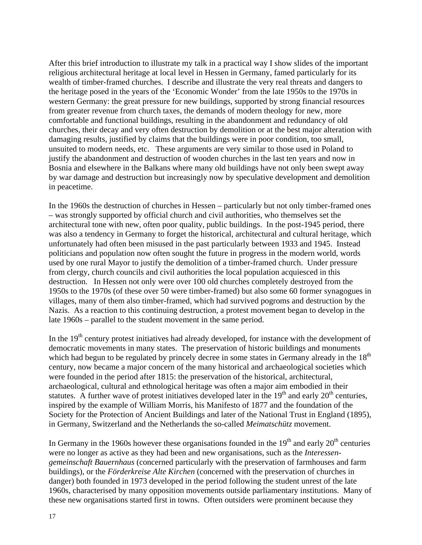After this brief introduction to illustrate my talk in a practical way I show slides of the important religious architectural heritage at local level in Hessen in Germany, famed particularly for its wealth of timber-framed churches. I describe and illustrate the very real threats and dangers to the heritage posed in the years of the 'Economic Wonder' from the late 1950s to the 1970s in western Germany: the great pressure for new buildings, supported by strong financial resources from greater revenue from church taxes, the demands of modern theology for new, more comfortable and functional buildings, resulting in the abandonment and redundancy of old churches, their decay and very often destruction by demolition or at the best major alteration with damaging results, justified by claims that the buildings were in poor condition, too small, unsuited to modern needs, etc. These arguments are very similar to those used in Poland to justify the abandonment and destruction of wooden churches in the last ten years and now in Bosnia and elsewhere in the Balkans where many old buildings have not only been swept away by war damage and destruction but increasingly now by speculative development and demolition in peacetime.

In the 1960s the destruction of churches in Hessen – particularly but not only timber-framed ones – was strongly supported by official church and civil authorities, who themselves set the architectural tone with new, often poor quality, public buildings. In the post-1945 period, there was also a tendency in Germany to forget the historical, architectural and cultural heritage, which unfortunately had often been misused in the past particularly between 1933 and 1945. Instead politicians and population now often sought the future in progress in the modern world, words used by one rural Mayor to justify the demolition of a timber-framed church. Under pressure from clergy, church councils and civil authorities the local population acquiesced in this destruction. In Hessen not only were over 100 old churches completely destroyed from the 1950s to the 1970s (of these over 50 were timber-framed) but also some 60 former synagogues in villages, many of them also timber-framed, which had survived pogroms and destruction by the Nazis. As a reaction to this continuing destruction, a protest movement began to develop in the late 1960s – parallel to the student movement in the same period.

In the  $19<sup>th</sup>$  century protest initiatives had already developed, for instance with the development of democratic movements in many states. The preservation of historic buildings and monuments which had begun to be regulated by princely decree in some states in Germany already in the  $18<sup>th</sup>$ century, now became a major concern of the many historical and archaeological societies which were founded in the period after 1815: the preservation of the historical, architectural, archaeological, cultural and ethnological heritage was often a major aim embodied in their statutes. A further wave of protest initiatives developed later in the  $19<sup>th</sup>$  and early  $20<sup>th</sup>$  centuries, inspired by the example of William Morris, his Manifesto of 1877 and the foundation of the Society for the Protection of Ancient Buildings and later of the National Trust in England (1895), in Germany, Switzerland and the Netherlands the so-called *Meimatschütz* movement.

In Germany in the 1960s however these organisations founded in the  $19<sup>th</sup>$  and early  $20<sup>th</sup>$  centuries were no longer as active as they had been and new organisations, such as the *Interessengemeinschaft Bauernhaus* (concerned particularly with the preservation of farmhouses and farm buildings), or the *Förderkreise Alte Kirchen* (concerned with the preservation of churches in danger) both founded in 1973 developed in the period following the student unrest of the late 1960s, characterised by many opposition movements outside parliamentary institutions. Many of these new organisations started first in towns. Often outsiders were prominent because they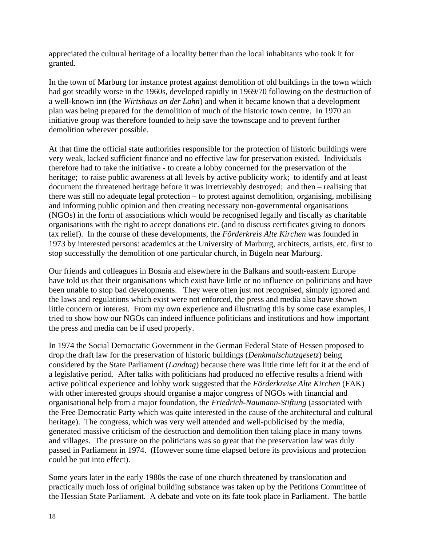appreciated the cultural heritage of a locality better than the local inhabitants who took it for granted.

In the town of Marburg for instance protest against demolition of old buildings in the town which had got steadily worse in the 1960s, developed rapidly in 1969/70 following on the destruction of a well-known inn (the *Wirtshaus an der Lahn*) and when it became known that a development plan was being prepared for the demolition of much of the historic town centre. In 1970 an initiative group was therefore founded to help save the townscape and to prevent further demolition wherever possible.

At that time the official state authorities responsible for the protection of historic buildings were very weak, lacked sufficient finance and no effective law for preservation existed. Individuals therefore had to take the initiative - to create a lobby concerned for the preservation of the heritage; to raise public awareness at all levels by active publicity work; to identify and at least document the threatened heritage before it was irretrievably destroyed; and then – realising that there was still no adequate legal protection – to protest against demolition, organising, mobilising and informing public opinion and then creating necessary non-governmental organisations (NGOs) in the form of associations which would be recognised legally and fiscally as charitable organisations with the right to accept donations etc. (and to discuss certificates giving to donors tax relief). In the course of these developments, the *Förderkreis Alte Kirchen* was founded in 1973 by interested persons: academics at the University of Marburg, architects, artists, etc. first to stop successfully the demolition of one particular church, in Bügeln near Marburg.

Our friends and colleagues in Bosnia and elsewhere in the Balkans and south-eastern Europe have told us that their organisations which exist have little or no influence on politicians and have been unable to stop bad developments. They were often just not recognised, simply ignored and the laws and regulations which exist were not enforced, the press and media also have shown little concern or interest. From my own experience and illustrating this by some case examples, I tried to show how our NGOs can indeed influence politicians and institutions and how important the press and media can be if used properly.

In 1974 the Social Democratic Government in the German Federal State of Hessen proposed to drop the draft law for the preservation of historic buildings (*Denkmalschutzgesetz*) being considered by the State Parliament (*Landtag*) because there was little time left for it at the end of a legislative period. After talks with politicians had produced no effective results a friend with active political experience and lobby work suggested that the *Förderkreise Alte Kirchen* (FAK) with other interested groups should organise a major congress of NGOs with financial and organisational help from a major foundation, the *Friedrich-Naumann-Stiftung* (associated with the Free Democratic Party which was quite interested in the cause of the architectural and cultural heritage). The congress, which was very well attended and well-publicised by the media, generated massive criticism of the destruction and demolition then taking place in many towns and villages. The pressure on the politicians was so great that the preservation law was duly passed in Parliament in 1974. (However some time elapsed before its provisions and protection could be put into effect).

Some years later in the early 1980s the case of one church threatened by translocation and practically much loss of original building substance was taken up by the Petitions Committee of the Hessian State Parliament. A debate and vote on its fate took place in Parliament. The battle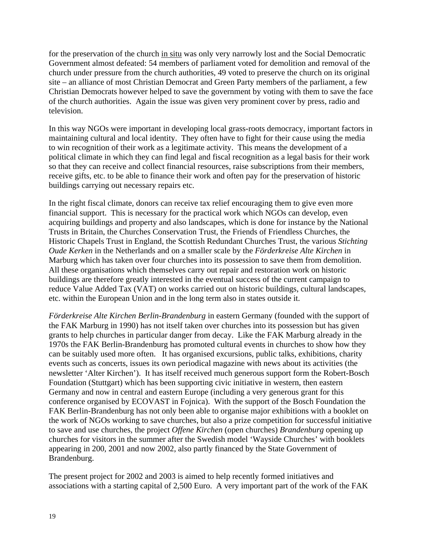for the preservation of the church in situ was only very narrowly lost and the Social Democratic Government almost defeated: 54 members of parliament voted for demolition and removal of the church under pressure from the church authorities, 49 voted to preserve the church on its original site – an alliance of most Christian Democrat and Green Party members of the parliament, a few Christian Democrats however helped to save the government by voting with them to save the face of the church authorities. Again the issue was given very prominent cover by press, radio and television.

In this way NGOs were important in developing local grass-roots democracy, important factors in maintaining cultural and local identity. They often have to fight for their cause using the media to win recognition of their work as a legitimate activity. This means the development of a political climate in which they can find legal and fiscal recognition as a legal basis for their work so that they can receive and collect financial resources, raise subscriptions from their members, receive gifts, etc. to be able to finance their work and often pay for the preservation of historic buildings carrying out necessary repairs etc.

In the right fiscal climate, donors can receive tax relief encouraging them to give even more financial support. This is necessary for the practical work which NGOs can develop, even acquiring buildings and property and also landscapes, which is done for instance by the National Trusts in Britain, the Churches Conservation Trust, the Friends of Friendless Churches, the Historic Chapels Trust in England, the Scottish Redundant Churches Trust, the various *Stichting Oude Kerken* in the Netherlands and on a smaller scale by the *Förderkreise Alte Kirchen* in Marburg which has taken over four churches into its possession to save them from demolition. All these organisations which themselves carry out repair and restoration work on historic buildings are therefore greatly interested in the eventual success of the current campaign to reduce Value Added Tax (VAT) on works carried out on historic buildings, cultural landscapes, etc. within the European Union and in the long term also in states outside it.

*Förderkreise Alte Kirchen Berlin-Brandenburg* in eastern Germany (founded with the support of the FAK Marburg in 1990) has not itself taken over churches into its possession but has given grants to help churches in particular danger from decay. Like the FAK Marburg already in the 1970s the FAK Berlin-Brandenburg has promoted cultural events in churches to show how they can be suitably used more often. It has organised excursions, public talks, exhibitions, charity events such as concerts, issues its own periodical magazine with news about its activities (the newsletter 'Alter Kirchen'). It has itself received much generous support form the Robert-Bosch Foundation (Stuttgart) which has been supporting civic initiative in western, then eastern Germany and now in central and eastern Europe (including a very generous grant for this conference organised by ECOVAST in Fojnica). With the support of the Bosch Foundation the FAK Berlin-Brandenburg has not only been able to organise major exhibitions with a booklet on the work of NGOs working to save churches, but also a prize competition for successful initiative to save and use churches, the project *Offene Kirchen* (open churches) *Brandenburg* opening up churches for visitors in the summer after the Swedish model 'Wayside Churches' with booklets appearing in 200, 2001 and now 2002, also partly financed by the State Government of Brandenburg.

The present project for 2002 and 2003 is aimed to help recently formed initiatives and associations with a starting capital of 2,500 Euro. A very important part of the work of the FAK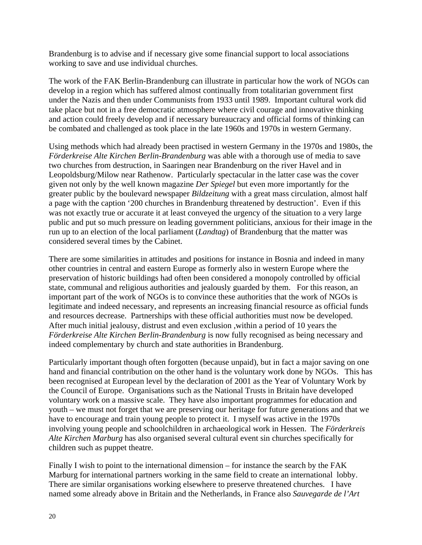Brandenburg is to advise and if necessary give some financial support to local associations working to save and use individual churches.

The work of the FAK Berlin-Brandenburg can illustrate in particular how the work of NGOs can develop in a region which has suffered almost continually from totalitarian government first under the Nazis and then under Communists from 1933 until 1989. Important cultural work did take place but not in a free democratic atmosphere where civil courage and innovative thinking and action could freely develop and if necessary bureaucracy and official forms of thinking can be combated and challenged as took place in the late 1960s and 1970s in western Germany.

Using methods which had already been practised in western Germany in the 1970s and 1980s, the *Förderkreise Alte Kirchen Berlin-Brandenburg* was able with a thorough use of media to save two churches from destruction, in Saaringen near Brandenburg on the river Havel and in Leopoldsburg/Milow near Rathenow. Particularly spectacular in the latter case was the cover given not only by the well known magazine *Der Spiegel* but even more importantly for the greater public by the boulevard newspaper *Bildzeitung* with a great mass circulation, almost half a page with the caption '200 churches in Brandenburg threatened by destruction'. Even if this was not exactly true or accurate it at least conveyed the urgency of the situation to a very large public and put so much pressure on leading government politicians, anxious for their image in the run up to an election of the local parliament (*Landtag*) of Brandenburg that the matter was considered several times by the Cabinet.

There are some similarities in attitudes and positions for instance in Bosnia and indeed in many other countries in central and eastern Europe as formerly also in western Europe where the preservation of historic buildings had often been considered a monopoly controlled by official state, communal and religious authorities and jealously guarded by them. For this reason, an important part of the work of NGOs is to convince these authorities that the work of NGOs is legitimate and indeed necessary, and represents an increasing financial resource as official funds and resources decrease. Partnerships with these official authorities must now be developed. After much initial jealousy, distrust and even exclusion ,within a period of 10 years the *Förderkreise Alte Kirchen Berlin-Brandenburg* is now fully recognised as being necessary and indeed complementary by church and state authorities in Brandenburg.

Particularly important though often forgotten (because unpaid), but in fact a major saving on one hand and financial contribution on the other hand is the voluntary work done by NGOs. This has been recognised at European level by the declaration of 2001 as the Year of Voluntary Work by the Council of Europe. Organisations such as the National Trusts in Britain have developed voluntary work on a massive scale. They have also important programmes for education and youth – we must not forget that we are preserving our heritage for future generations and that we have to encourage and train young people to protect it. I myself was active in the 1970s involving young people and schoolchildren in archaeological work in Hessen. The *Förderkreis Alte Kirchen Marburg* has also organised several cultural event sin churches specifically for children such as puppet theatre.

Finally I wish to point to the international dimension – for instance the search by the FAK Marburg for international partners working in the same field to create an international lobby. There are similar organisations working elsewhere to preserve threatened churches. I have named some already above in Britain and the Netherlands, in France also *Sauvegarde de l'Art*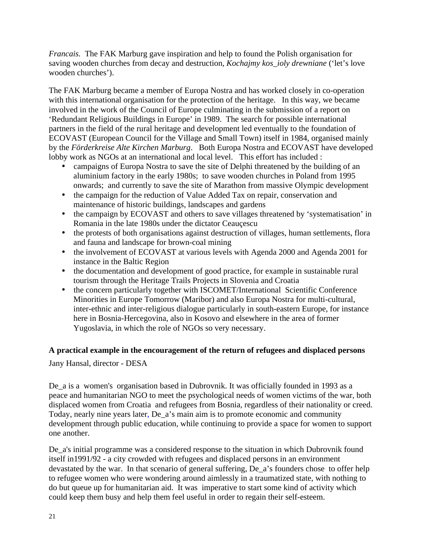*Francais.* The FAK Marburg gave inspiration and help to found the Polish organisation for saving wooden churches from decay and destruction, *Kochajmy kos\_ioly drewniane* ('let's love wooden churches').

The FAK Marburg became a member of Europa Nostra and has worked closely in co-operation with this international organisation for the protection of the heritage. In this way, we became involved in the work of the Council of Europe culminating in the submission of a report on 'Redundant Religious Buildings in Europe' in 1989. The search for possible international partners in the field of the rural heritage and development led eventually to the foundation of ECOVAST (European Council for the Village and Small Town) itself in 1984, organised mainly by the *Förderkreise Alte Kirchen Marburg*. Both Europa Nostra and ECOVAST have developed lobby work as NGOs at an international and local level. This effort has included :

- campaigns of Europa Nostra to save the site of Delphi threatened by the building of an aluminium factory in the early 1980s; to save wooden churches in Poland from 1995 onwards; and currently to save the site of Marathon from massive Olympic development
- the campaign for the reduction of Value Added Tax on repair, conservation and maintenance of historic buildings, landscapes and gardens
- the campaign by ECOVAST and others to save villages threatened by 'systematisation' in Romania in the late 1980s under the dictator Ceauçescu
- the protests of both organisations against destruction of villages, human settlements, flora and fauna and landscape for brown-coal mining
- the involvement of ECOVAST at various levels with Agenda 2000 and Agenda 2001 for instance in the Baltic Region
- the documentation and development of good practice, for example in sustainable rural tourism through the Heritage Trails Projects in Slovenia and Croatia
- the concern particularly together with ISCOMET/International Scientific Conference Minorities in Europe Tomorrow (Maribor) and also Europa Nostra for multi-cultural, inter-ethnic and inter-religious dialogue particularly in south-eastern Europe, for instance here in Bosnia-Hercegovina, also in Kosovo and elsewhere in the area of former Yugoslavia, in which the role of NGOs so very necessary.

# **A practical example in the encouragement of the return of refugees and displaced persons**

Jany Hansal, director - DESA

De\_a is a women's organisation based in Dubrovnik. It was officially founded in 1993 as a peace and humanitarian NGO to meet the psychological needs of women victims of the war, both displaced women from Croatia and refugees from Bosnia, regardless of their nationality or creed. Today, nearly nine years later, De\_a's main aim is to promote economic and community development through public education, while continuing to provide a space for women to support one another.

De\_a's initial programme was a considered response to the situation in which Dubrovnik found itself in1991/92 - a city crowded with refugees and displaced persons in an environment devastated by the war. In that scenario of general suffering, De\_a's founders chose to offer help to refugee women who were wondering around aimlessly in a traumatized state, with nothing to do but queue up for humanitarian aid. It was imperative to start some kind of activity which could keep them busy and help them feel useful in order to regain their self-esteem.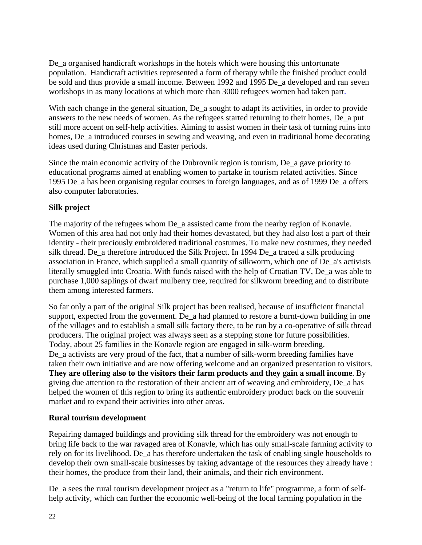De a organised handicraft workshops in the hotels which were housing this unfortunate population. Handicraft activities represented a form of therapy while the finished product could be sold and thus provide a small income. Between 1992 and 1995 De\_a developed and ran seven workshops in as many locations at which more than 3000 refugees women had taken part.

With each change in the general situation, De\_a sought to adapt its activities, in order to provide answers to the new needs of women. As the refugees started returning to their homes, De\_a put still more accent on self-help activities. Aiming to assist women in their task of turning ruins into homes, De\_a introduced courses in sewing and weaving, and even in traditional home decorating ideas used during Christmas and Easter periods.

Since the main economic activity of the Dubrovnik region is tourism, De\_a gave priority to educational programs aimed at enabling women to partake in tourism related activities. Since 1995 De\_a has been organising regular courses in foreign languages, and as of 1999 De\_a offers also computer laboratories.

# **Silk project**

The majority of the refugees whom De a assisted came from the nearby region of Konavle. Women of this area had not only had their homes devastated, but they had also lost a part of their identity - their preciously embroidered traditional costumes. To make new costumes, they needed silk thread. De\_a therefore introduced the Silk Project. In 1994 De\_a traced a silk producing association in France, which supplied a small quantity of silkworm, which one of De\_a's activists literally smuggled into Croatia. With funds raised with the help of Croatian TV, De\_a was able to purchase 1,000 saplings of dwarf mulberry tree, required for silkworm breeding and to distribute them among interested farmers.

So far only a part of the original Silk project has been realised, because of insufficient financial support, expected from the goverment. De\_a had planned to restore a burnt-down building in one of the villages and to establish a small silk factory there, to be run by a co-operative of silk thread producers. The original project was always seen as a stepping stone for future possibilities. Today, about 25 families in the Konavle region are engaged in silk-worm breeding. De\_a activists are very proud of the fact, that a number of silk-worm breeding families have taken their own initiative and are now offering welcome and an organized presentation to visitors. **They are offering also to the visitors their farm products and they gain a small income**. By giving due attention to the restoration of their ancient art of weaving and embroidery, De\_a has helped the women of this region to bring its authentic embroidery product back on the souvenir market and to expand their activities into other areas.

## **Rural tourism development**

Repairing damaged buildings and providing silk thread for the embroidery was not enough to bring life back to the war ravaged area of Konavle, which has only small-scale farming activity to rely on for its livelihood. De\_a has therefore undertaken the task of enabling single households to develop their own small-scale businesses by taking advantage of the resources they already have : their homes, the produce from their land, their animals, and their rich environment.

De\_a sees the rural tourism development project as a "return to life" programme, a form of selfhelp activity, which can further the economic well-being of the local farming population in the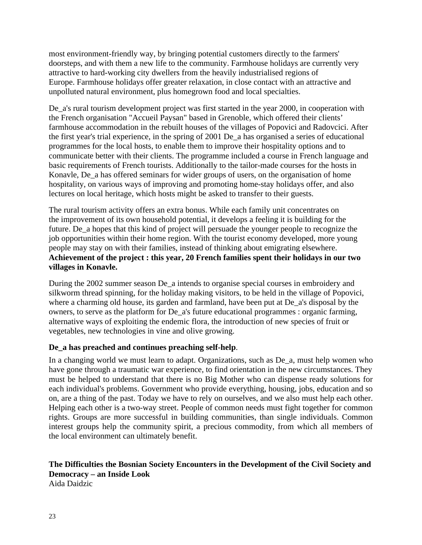most environment-friendly way, by bringing potential customers directly to the farmers' doorsteps, and with them a new life to the community. Farmhouse holidays are currently very attractive to hard-working city dwellers from the heavily industrialised regions of Europe. Farmhouse holidays offer greater relaxation, in close contact with an attractive and unpolluted natural environment, plus homegrown food and local specialties.

De a's rural tourism development project was first started in the year 2000, in cooperation with the French organisation "Accueil Paysan" based in Grenoble, which offered their clients' farmhouse accommodation in the rebuilt houses of the villages of Popovici and Radovcici. After the first year's trial experience, in the spring of 2001 De\_a has organised a series of educational programmes for the local hosts, to enable them to improve their hospitality options and to communicate better with their clients. The programme included a course in French language and basic requirements of French tourists. Additionally to the tailor-made courses for the hosts in Konavle, De\_a has offered seminars for wider groups of users, on the organisation of home hospitality, on various ways of improving and promoting home-stay holidays offer, and also lectures on local heritage, which hosts might be asked to transfer to their guests.

The rural tourism activity offers an extra bonus. While each family unit concentrates on the improvement of its own household potential, it develops a feeling it is building for the future. De\_a hopes that this kind of project will persuade the younger people to recognize the job opportunities within their home region. With the tourist economy developed, more young people may stay on with their families, instead of thinking about emigrating elsewhere. **Achievement of the project : this year, 20 French families spent their holidays in our two villages in Konavle.**

During the 2002 summer season De\_a intends to organise special courses in embroidery and silkworm thread spinning, for the holiday making visitors, to be held in the village of Popovici, where a charming old house, its garden and farmland, have been put at De\_a's disposal by the owners, to serve as the platform for De\_a's future educational programmes : organic farming, alternative ways of exploiting the endemic flora, the introduction of new species of fruit or vegetables, new technologies in vine and olive growing.

## **De\_a has preached and continues preaching self-help**.

In a changing world we must learn to adapt. Organizations, such as De a, must help women who have gone through a traumatic war experience, to find orientation in the new circumstances. They must be helped to understand that there is no Big Mother who can dispense ready solutions for each individual's problems. Government who provide everything, housing, jobs, education and so on, are a thing of the past. Today we have to rely on ourselves, and we also must help each other. Helping each other is a two-way street. People of common needs must fight together for common rights. Groups are more successful in building communities, than single individuals. Common interest groups help the community spirit, a precious commodity, from which all members of the local environment can ultimately benefit.

# **The Difficulties the Bosnian Society Encounters in the Development of the Civil Society and Democracy – an Inside Look**

Aida Daidzic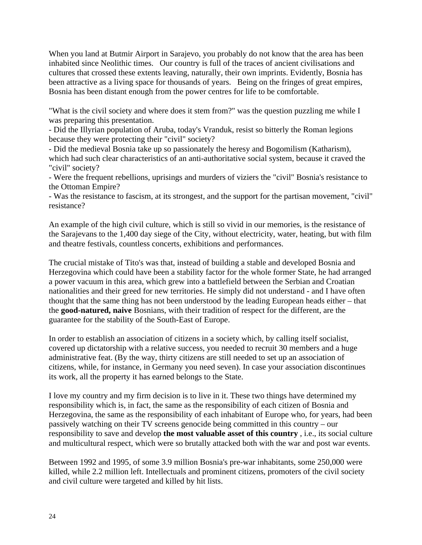When you land at Butmir Airport in Sarajevo, you probably do not know that the area has been inhabited since Neolithic times. Our country is full of the traces of ancient civilisations and cultures that crossed these extents leaving, naturally, their own imprints. Evidently, Bosnia has been attractive as a living space for thousands of years. Being on the fringes of great empires, Bosnia has been distant enough from the power centres for life to be comfortable.

"What is the civil society and where does it stem from?" was the question puzzling me while I was preparing this presentation.

- Did the Illyrian population of Aruba, today's Vranduk, resist so bitterly the Roman legions because they were protecting their "civil" society?

- Did the medieval Bosnia take up so passionately the heresy and Bogomilism (Katharism), which had such clear characteristics of an anti-authoritative social system, because it craved the "civil" society?

- Were the frequent rebellions, uprisings and murders of viziers the "civil" Bosnia's resistance to the Ottoman Empire?

- Was the resistance to fascism, at its strongest, and the support for the partisan movement, "civil" resistance?

An example of the high civil culture, which is still so vivid in our memories, is the resistance of the Sarajevans to the 1,400 day siege of the City, without electricity, water, heating, but with film and theatre festivals, countless concerts, exhibitions and performances.

The crucial mistake of Tito's was that, instead of building a stable and developed Bosnia and Herzegovina which could have been a stability factor for the whole former State, he had arranged a power vacuum in this area, which grew into a battlefield between the Serbian and Croatian nationalities and their greed for new territories. He simply did not understand - and I have often thought that the same thing has not been understood by the leading European heads either – that the **good-natured, naive** Bosnians, with their tradition of respect for the different, are the guarantee for the stability of the South-East of Europe.

In order to establish an association of citizens in a society which, by calling itself socialist, covered up dictatorship with a relative success, you needed to recruit 30 members and a huge administrative feat. (By the way, thirty citizens are still needed to set up an association of citizens, while, for instance, in Germany you need seven). In case your association discontinues its work, all the property it has earned belongs to the State.

I love my country and my firm decision is to live in it. These two things have determined my responsibility which is, in fact, the same as the responsibility of each citizen of Bosnia and Herzegovina, the same as the responsibility of each inhabitant of Europe who, for years, had been passively watching on their TV screens genocide being committed in this country – our responsibility to save and develop **the most valuable asset of this country** , i.e., its social culture and multicultural respect, which were so brutally attacked both with the war and post war events.

Between 1992 and 1995, of some 3.9 million Bosnia's pre-war inhabitants, some 250,000 were killed, while 2.2 million left. Intellectuals and prominent citizens, promoters of the civil society and civil culture were targeted and killed by hit lists.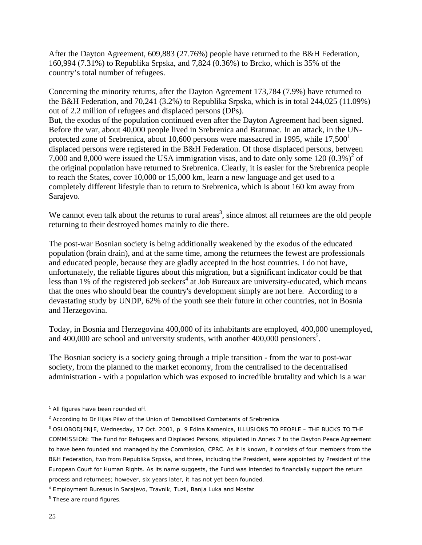After the Dayton Agreement, 609,883 (27.76%) people have returned to the B&H Federation, 160,994 (7.31%) to Republika Srpska, and 7,824 (0.36%) to Brcko, which is 35% of the country's total number of refugees.

Concerning the minority returns, after the Dayton Agreement 173,784 (7.9%) have returned to the B&H Federation, and 70,241 (3.2%) to Republika Srpska, which is in total 244,025 (11.09%) out of 2.2 million of refugees and displaced persons (DPs). But, the exodus of the population continued even after the Dayton Agreement had been signed. Before the war, about 40,000 people lived in Srebrenica and Bratunac. In an attack, in the UNprotected zone of Srebrenica, about 10,600 persons were massacred in 1995, while  $17,500<sup>1</sup>$ displaced persons were registered in the B&H Federation. Of those displaced persons, between 7,000 and 8,000 were issued the USA immigration visas, and to date only some 120  $(0.3\%)^2$  of the original population have returned to Srebrenica. Clearly, it is easier for the Srebrenica people to reach the States, cover 10,000 or 15,000 km, learn a new language and get used to a completely different lifestyle than to return to Srebrenica, which is about 160 km away from Sarajevo.

We cannot even talk about the returns to rural areas<sup>3</sup>, since almost all returnees are the old people returning to their destroyed homes mainly to die there.

The post-war Bosnian society is being additionally weakened by the exodus of the educated population (brain drain), and at the same time, among the returnees the fewest are professionals and educated people, because they are gladly accepted in the host countries. I do not have, unfortunately, the reliable figures about this migration, but a significant indicator could be that less than  $1\%$  of the registered job seekers<sup>4</sup> at Job Bureaux are university-educated, which means that the ones who should bear the country's development simply are not here. According to a devastating study by UNDP, 62% of the youth see their future in other countries, not in Bosnia and Herzegovina.

Today, in Bosnia and Herzegovina 400,000 of its inhabitants are employed, 400,000 unemployed, and  $400,000$  are school and university students, with another  $400,000$  pensioners<sup>5</sup>.

The Bosnian society is a society going through a triple transition - from the war to post-war society, from the planned to the market economy, from the centralised to the decentralised administration - with a population which was exposed to incredible brutality and which is a war

 $\overline{a}$ <sup>1</sup> All figures have been rounded off.

 $^2$  According to Dr Ilijas Pilav of the Union of Demobilised Combatants of Srebrenica

<sup>3</sup> OSLOBODJENJE, Wednesday, 17 Oct. 2001, p. 9 Edina Kamenica, ILLUSIONS TO PEOPLE – THE BUCKS TO THE COMMISSION: The Fund for Refugees and Displaced Persons, stipulated in Annex 7 to the Dayton Peace Agreement to have been founded and managed by the Commission, CPRC. As it is known, it consists of four members from the B&H Federation, two from Republika Srpska, and three, including the President, were appointed by President of the European Court for Human Rights. As its name suggests, the Fund was intended to financially support the return process and returnees; however, six years later, it has not yet been founded.

<sup>4</sup> Employment Bureaus in Sarajevo, Travnik, Tuzli, Banja Luka and Mostar

<sup>&</sup>lt;sup>5</sup> These are round figures.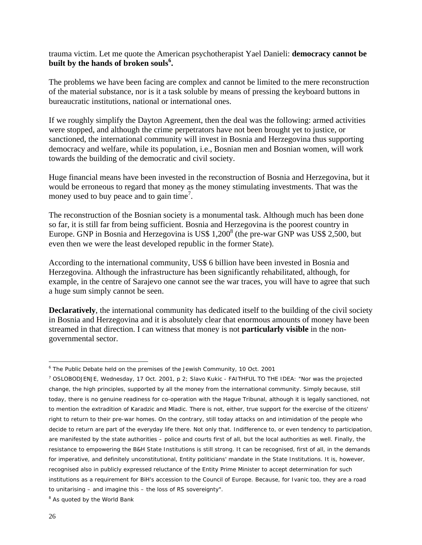trauma victim. Let me quote the American psychotherapist Yael Danieli: **democracy cannot be built by the hands of broken souls<sup>6</sup> .**

The problems we have been facing are complex and cannot be limited to the mere reconstruction of the material substance, nor is it a task soluble by means of pressing the keyboard buttons in bureaucratic institutions, national or international ones.

If we roughly simplify the Dayton Agreement, then the deal was the following: armed activities were stopped, and although the crime perpetrators have not been brought yet to justice, or sanctioned, the international community will invest in Bosnia and Herzegovina thus supporting democracy and welfare, while its population, i.e., Bosnian men and Bosnian women, will work towards the building of the democratic and civil society.

Huge financial means have been invested in the reconstruction of Bosnia and Herzegovina, but it would be erroneous to regard that money as the money stimulating investments. That was the money used to buy peace and to gain time<sup>7</sup>.

The reconstruction of the Bosnian society is a monumental task. Although much has been done so far, it is still far from being sufficient. Bosnia and Herzegovina is the poorest country in Europe. GNP in Bosnia and Herzegovina is US\$ 1,200 $^8$  (the pre-war GNP was US\$ 2,500, but even then we were the least developed republic in the former State).

According to the international community, US\$ 6 billion have been invested in Bosnia and Herzegovina. Although the infrastructure has been significantly rehabilitated, although, for example, in the centre of Sarajevo one cannot see the war traces, you will have to agree that such a huge sum simply cannot be seen.

**Declaratively**, the international community has dedicated itself to the building of the civil society in Bosnia and Herzegovina and it is absolutely clear that enormous amounts of money have been streamed in that direction. I can witness that money is not **particularly visible** in the nongovernmental sector.

 $\overline{a}$ 

<sup>&</sup>lt;sup>6</sup> The Public Debate held on the premises of the Jewish Community, 10 Oct. 2001

<sup>7</sup> OSLOBODJENJE, Wednesday, 17 Oct. 2001, p 2; Slavo Kukic - FAITHFUL TO THE IDEA: "Nor was the projected change, the high principles, supported by all the money from the international community. Simply because, still today, there is no genuine readiness for co-operation with the Hague Tribunal, although it is legally sanctioned, not to mention the extradition of Karadzic and Mladic. There is not, either, true support for the exercise of the citizens' right to return to their pre-war homes. On the contrary, still today attacks on and intimidation of the people who decide to return are part of the everyday life there. Not only that. Indifference to, or even tendency to participation, are manifested by the state authorities – police and courts first of all, but the local authorities as well. Finally, the resistance to empowering the B&H State Institutions is still strong. It can be recognised, first of all, in the demands for imperative, and definitely unconstitutional, Entity politicians' mandate in the State Institutions. It is, however, recognised also in publicly expressed reluctance of the Entity Prime Minister to accept determination for such institutions as a requirement for BiH's accession to the Council of Europe. Because, for Ivanic too, they are a road to unitarising – and imagine this – the loss of RS sovereignty".

<sup>&</sup>lt;sup>8</sup> As quoted by the World Bank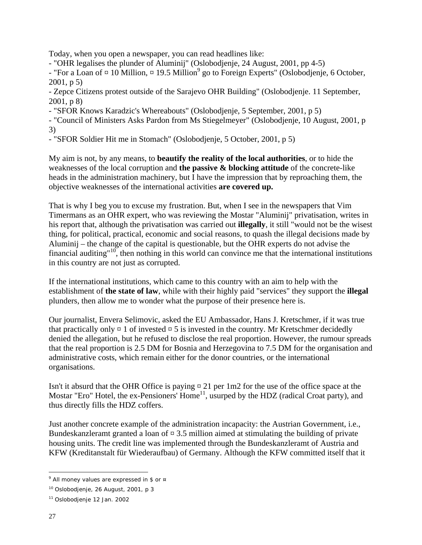Today, when you open a newspaper, you can read headlines like:

- "OHR legalises the plunder of Aluminij" (Oslobodjenje, 24 August, 2001, pp 4-5)

- "For a Loan of  $\alpha$  10 Million,  $\alpha$  19.5 Million<sup>9</sup> go to Foreign Experts" (Oslobodjenje, 6 October, 2001, p 5)

- Zepce Citizens protest outside of the Sarajevo OHR Building" (Oslobodjenje. 11 September, 2001, p 8)

- "SFOR Knows Karadzic's Whereabouts" (Oslobodjenje, 5 September, 2001, p 5)

- "Council of Ministers Asks Pardon from Ms Stiegelmeyer" (Oslobodjenje, 10 August, 2001, p 3)

- "SFOR Soldier Hit me in Stomach" (Oslobodjenje, 5 October, 2001, p 5)

My aim is not, by any means, to **beautify the reality of the local authorities**, or to hide the weaknesses of the local corruption and **the passive & blocking attitude** of the concrete-like heads in the administration machinery, but I have the impression that by reproaching them, the objective weaknesses of the international activities **are covered up.**

That is why I beg you to excuse my frustration. But, when I see in the newspapers that Vim Timermans as an OHR expert, who was reviewing the Mostar "Aluminij" privatisation, writes in his report that, although the privatisation was carried out **illegally**, it still "would not be the wisest thing, for political, practical, economic and social reasons, to quash the illegal decisions made by Aluminij – the change of the capital is questionable, but the OHR experts do not advise the financial auditing"<sup>10</sup>, then nothing in this world can convince me that the international institutions in this country are not just as corrupted.

If the international institutions, which came to this country with an aim to help with the establishment of **the state of law**, while with their highly paid "services" they support the **illegal** plunders, then allow me to wonder what the purpose of their presence here is.

Our journalist, Envera Selimovic, asked the EU Ambassador, Hans J. Kretschmer, if it was true that practically only  $\alpha$  1 of invested  $\alpha$  5 is invested in the country. Mr Kretschmer decidedly denied the allegation, but he refused to disclose the real proportion. However, the rumour spreads that the real proportion is 2.5 DM for Bosnia and Herzegovina to 7.5 DM for the organisation and administrative costs, which remain either for the donor countries, or the international organisations.

Isn't it absurd that the OHR Office is paying ¤ 21 per 1m2 for the use of the office space at the Mostar "Ero" Hotel, the ex-Pensioners' Home<sup>11</sup>, usurped by the HDZ (radical Croat party), and thus directly fills the HDZ coffers.

Just another concrete example of the administration incapacity: the Austrian Government, i.e., Bundeskanzleramt granted a loan of  $\approx 3.5$  million aimed at stimulating the building of private housing units. The credit line was implemented through the Bundeskanzleramt of Austria and KFW (Kreditanstalt für Wiederaufbau) of Germany. Although the KFW committed itself that it

 $\overline{a}$  $^9$  All money values are expressed in \$ or  $\,$ 

 $10$  Oslobodjenje, 26 August, 2001, p 3

<sup>11</sup> Oslobodjenje 12 Jan. 2002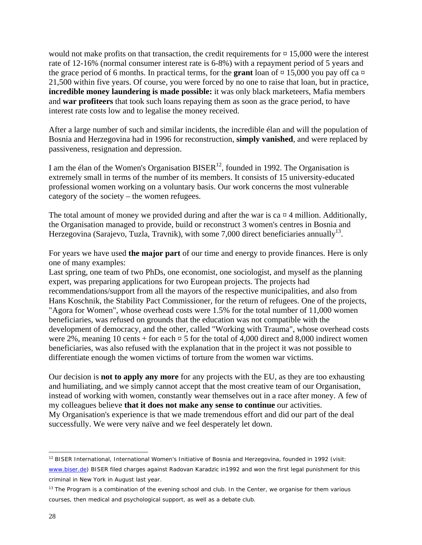would not make profits on that transaction, the credit requirements for  $\approx 15,000$  were the interest rate of 12-16% (normal consumer interest rate is 6-8%) with a repayment period of 5 years and the grace period of 6 months. In practical terms, for the **grant** loan of  $\alpha$  15,000 you pay off ca  $\alpha$ 21,500 within five years. Of course, you were forced by no one to raise that loan, but in practice, **incredible money laundering is made possible:** it was only black marketeers, Mafia members and **war profiteers** that took such loans repaying them as soon as the grace period, to have interest rate costs low and to legalise the money received.

After a large number of such and similar incidents, the incredible élan and will the population of Bosnia and Herzegovina had in 1996 for reconstruction, **simply vanished**, and were replaced by passiveness, resignation and depression.

I am the élan of the Women's Organisation BISER<sup>12</sup>, founded in 1992. The Organisation is extremely small in terms of the number of its members. It consists of 15 university-educated professional women working on a voluntary basis. Our work concerns the most vulnerable category of the society – the women refugees.

The total amount of money we provided during and after the war is ca  $\alpha$  4 million. Additionally, the Organisation managed to provide, build or reconstruct 3 women's centres in Bosnia and Herzegovina (Sarajevo, Tuzla, Travnik), with some 7,000 direct beneficiaries annually<sup>13</sup>.

For years we have used **the major part** of our time and energy to provide finances. Here is only one of many examples:

Last spring, one team of two PhDs, one economist, one sociologist, and myself as the planning expert, was preparing applications for two European projects. The projects had recommendations/support from all the mayors of the respective municipalities, and also from Hans Koschnik, the Stability Pact Commissioner, for the return of refugees. One of the projects, "Agora for Women", whose overhead costs were 1.5% for the total number of 11,000 women beneficiaries, was refused on grounds that the education was not compatible with the development of democracy, and the other, called "Working with Trauma", whose overhead costs were 2%, meaning 10 cents + for each  $\alpha$  5 for the total of 4,000 direct and 8,000 indirect women beneficiaries, was also refused with the explanation that in the project it was not possible to differentiate enough the women victims of torture from the women war victims.

Our decision is **not to apply any more** for any projects with the EU, as they are too exhausting and humiliating, and we simply cannot accept that the most creative team of our Organisation, instead of working with women, constantly wear themselves out in a race after money. A few of my colleagues believe **that it does not make any sense to continue** our activities. My Organisation's experience is that we made tremendous effort and did our part of the deal successfully. We were very naïve and we feel desperately let down.

 $\overline{a}$  $12$  BISER International, International Women's Initiative of Bosnia and Herzegovina, founded in 1992 (visit: www.biser.de) BISER filed charges against Radovan Karadzic in1992 and won the first legal punishment for this criminal in New York in August last year.

<sup>&</sup>lt;sup>13</sup> The Program is a combination of the evening school and club. In the Center, we organise for them various courses, then medical and psychological support, as well as a debate club.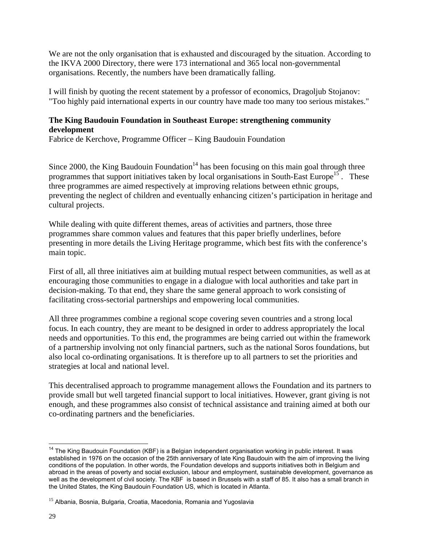We are not the only organisation that is exhausted and discouraged by the situation. According to the IKVA 2000 Directory, there were 173 international and 365 local non-governmental organisations. Recently, the numbers have been dramatically falling.

I will finish by quoting the recent statement by a professor of economics, Dragoljub Stojanov: "Too highly paid international experts in our country have made too many too serious mistakes."

# **The King Baudouin Foundation in Southeast Europe: strengthening community development**

Fabrice de Kerchove, Programme Officer – King Baudouin Foundation

Since 2000, the King Baudouin Foundation<sup>14</sup> has been focusing on this main goal through three programmes that support initiatives taken by local organisations in South-East Europe<sup>15</sup>. These three programmes are aimed respectively at improving relations between ethnic groups, preventing the neglect of children and eventually enhancing citizen's participation in heritage and cultural projects.

While dealing with quite different themes, areas of activities and partners, those three programmes share common values and features that this paper briefly underlines, before presenting in more details the Living Heritage programme, which best fits with the conference's main topic.

First of all, all three initiatives aim at building mutual respect between communities, as well as at encouraging those communities to engage in a dialogue with local authorities and take part in decision-making. To that end, they share the same general approach to work consisting of facilitating cross-sectorial partnerships and empowering local communities.

All three programmes combine a regional scope covering seven countries and a strong local focus. In each country, they are meant to be designed in order to address appropriately the local needs and opportunities. To this end, the programmes are being carried out within the framework of a partnership involving not only financial partners, such as the national Soros foundations, but also local co-ordinating organisations. It is therefore up to all partners to set the priorities and strategies at local and national level.

This decentralised approach to programme management allows the Foundation and its partners to provide small but well targeted financial support to local initiatives. However, grant giving is not enough, and these programmes also consist of technical assistance and training aimed at both our co-ordinating partners and the beneficiaries.

 $\overline{1}$ <sup>14</sup> The King Baudouin Foundation (KBF) is a Belgian independent organisation working in public interest. It was established in 1976 on the occasion of the 25th anniversary of late King Baudouin with the aim of improving the living conditions of the population. In other words, the Foundation develops and supports initiatives both in Belgium and abroad in the areas of poverty and social exclusion, labour and employment, sustainable development, governance as well as the development of civil society. The KBF is based in Brussels with a staff of 85. It also has a small branch in the United States, the King Baudouin Foundation US, which is located in Atlanta.

<sup>&</sup>lt;sup>15</sup> Albania, Bosnia, Bulgaria, Croatia, Macedonia, Romania and Yugoslavia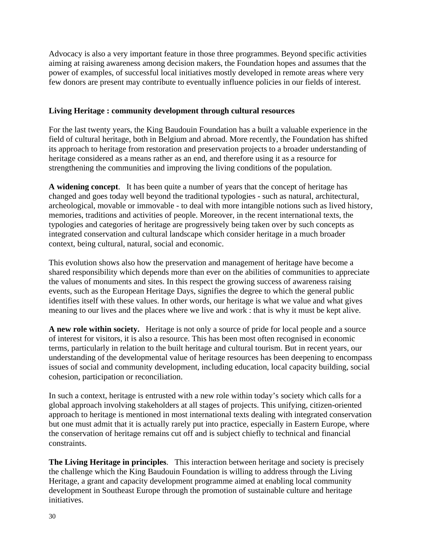Advocacy is also a very important feature in those three programmes. Beyond specific activities aiming at raising awareness among decision makers, the Foundation hopes and assumes that the power of examples, of successful local initiatives mostly developed in remote areas where very few donors are present may contribute to eventually influence policies in our fields of interest.

#### **Living Heritage : community development through cultural resources**

For the last twenty years, the King Baudouin Foundation has a built a valuable experience in the field of cultural heritage, both in Belgium and abroad. More recently, the Foundation has shifted its approach to heritage from restoration and preservation projects to a broader understanding of heritage considered as a means rather as an end, and therefore using it as a resource for strengthening the communities and improving the living conditions of the population.

**A widening concept**. It has been quite a number of years that the concept of heritage has changed and goes today well beyond the traditional typologies - such as natural, architectural, archeological, movable or immovable - to deal with more intangible notions such as lived history, memories, traditions and activities of people. Moreover, in the recent international texts, the typologies and categories of heritage are progressively being taken over by such concepts as integrated conservation and cultural landscape which consider heritage in a much broader context, being cultural, natural, social and economic.

This evolution shows also how the preservation and management of heritage have become a shared responsibility which depends more than ever on the abilities of communities to appreciate the values of monuments and sites. In this respect the growing success of awareness raising events, such as the European Heritage Days, signifies the degree to which the general public identifies itself with these values. In other words, our heritage is what we value and what gives meaning to our lives and the places where we live and work : that is why it must be kept alive.

**A new role within society.** Heritage is not only a source of pride for local people and a source of interest for visitors, it is also a resource. This has been most often recognised in economic terms, particularly in relation to the built heritage and cultural tourism. But in recent years, our understanding of the developmental value of heritage resources has been deepening to encompass issues of social and community development, including education, local capacity building, social cohesion, participation or reconciliation.

In such a context, heritage is entrusted with a new role within today's society which calls for a global approach involving stakeholders at all stages of projects. This unifying, citizen-oriented approach to heritage is mentioned in most international texts dealing with integrated conservation but one must admit that it is actually rarely put into practice, especially in Eastern Europe, where the conservation of heritage remains cut off and is subject chiefly to technical and financial constraints.

**The Living Heritage in principles**. This interaction between heritage and society is precisely the challenge which the King Baudouin Foundation is willing to address through the Living Heritage, a grant and capacity development programme aimed at enabling local community development in Southeast Europe through the promotion of sustainable culture and heritage initiatives.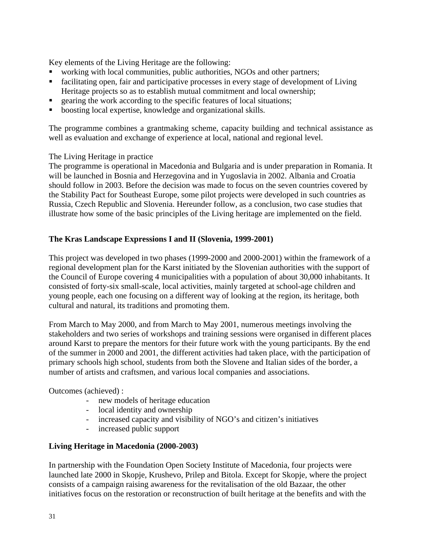Key elements of the Living Heritage are the following:

- working with local communities, public authorities, NGOs and other partners;
- **Example 1** facilitating open, fair and participative processes in every stage of development of Living Heritage projects so as to establish mutual commitment and local ownership;
- ß gearing the work according to the specific features of local situations;
- boosting local expertise, knowledge and organizational skills.

The programme combines a grantmaking scheme, capacity building and technical assistance as well as evaluation and exchange of experience at local, national and regional level.

The Living Heritage in practice

The programme is operational in Macedonia and Bulgaria and is under preparation in Romania. It will be launched in Bosnia and Herzegovina and in Yugoslavia in 2002. Albania and Croatia should follow in 2003. Before the decision was made to focus on the seven countries covered by the Stability Pact for Southeast Europe, some pilot projects were developed in such countries as Russia, Czech Republic and Slovenia. Hereunder follow, as a conclusion, two case studies that illustrate how some of the basic principles of the Living heritage are implemented on the field.

## **The Kras Landscape Expressions I and II (Slovenia, 1999-2001)**

This project was developed in two phases (1999-2000 and 2000-2001) within the framework of a regional development plan for the Karst initiated by the Slovenian authorities with the support of the Council of Europe covering 4 municipalities with a population of about 30,000 inhabitants. It consisted of forty-six small-scale, local activities, mainly targeted at school-age children and young people, each one focusing on a different way of looking at the region, its heritage, both cultural and natural, its traditions and promoting them.

From March to May 2000, and from March to May 2001, numerous meetings involving the stakeholders and two series of workshops and training sessions were organised in different places around Karst to prepare the mentors for their future work with the young participants. By the end of the summer in 2000 and 2001, the different activities had taken place, with the participation of primary schools high school, students from both the Slovene and Italian sides of the border, a number of artists and craftsmen, and various local companies and associations.

Outcomes (achieved) :

- new models of heritage education
- local identity and ownership
- increased capacity and visibility of NGO's and citizen's initiatives
- increased public support

# **Living Heritage in Macedonia (2000-2003)**

In partnership with the Foundation Open Society Institute of Macedonia, four projects were launched late 2000 in Skopje, Krushevo, Prilep and Bitola. Except for Skopje, where the project consists of a campaign raising awareness for the revitalisation of the old Bazaar, the other initiatives focus on the restoration or reconstruction of built heritage at the benefits and with the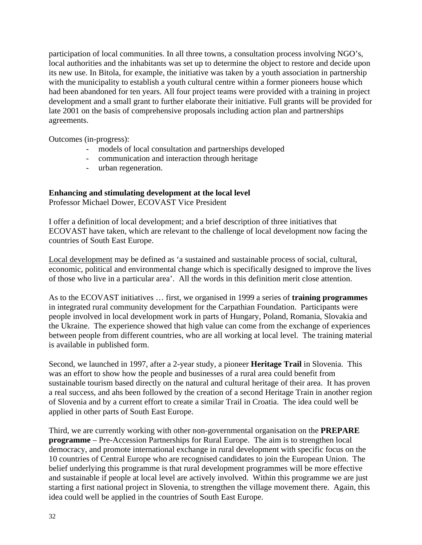participation of local communities. In all three towns, a consultation process involving NGO's, local authorities and the inhabitants was set up to determine the object to restore and decide upon its new use. In Bitola, for example, the initiative was taken by a youth association in partnership with the municipality to establish a youth cultural centre within a former pioneers house which had been abandoned for ten years. All four project teams were provided with a training in project development and a small grant to further elaborate their initiative. Full grants will be provided for late 2001 on the basis of comprehensive proposals including action plan and partnerships agreements.

Outcomes (in-progress):

- models of local consultation and partnerships developed
- communication and interaction through heritage
- urban regeneration.

## **Enhancing and stimulating development at the local level**

Professor Michael Dower, ECOVAST Vice President

I offer a definition of local development; and a brief description of three initiatives that ECOVAST have taken, which are relevant to the challenge of local development now facing the countries of South East Europe.

Local development may be defined as 'a sustained and sustainable process of social, cultural, economic, political and environmental change which is specifically designed to improve the lives of those who live in a particular area'. All the words in this definition merit close attention.

As to the ECOVAST initiatives … first, we organised in 1999 a series of **training programmes** in integrated rural community development for the Carpathian Foundation. Participants were people involved in local development work in parts of Hungary, Poland, Romania, Slovakia and the Ukraine. The experience showed that high value can come from the exchange of experiences between people from different countries, who are all working at local level. The training material is available in published form.

Second, we launched in 1997, after a 2-year study, a pioneer **Heritage Trail** in Slovenia. This was an effort to show how the people and businesses of a rural area could benefit from sustainable tourism based directly on the natural and cultural heritage of their area. It has proven a real success, and ahs been followed by the creation of a second Heritage Train in another region of Slovenia and by a current effort to create a similar Trail in Croatia. The idea could well be applied in other parts of South East Europe.

Third, we are currently working with other non-governmental organisation on the **PREPARE programme** – Pre-Accession Partnerships for Rural Europe. The aim is to strengthen local democracy, and promote international exchange in rural development with specific focus on the 10 countries of Central Europe who are recognised candidates to join the European Union. The belief underlying this programme is that rural development programmes will be more effective and sustainable if people at local level are actively involved. Within this programme we are just starting a first national project in Slovenia, to strengthen the village movement there. Again, this idea could well be applied in the countries of South East Europe.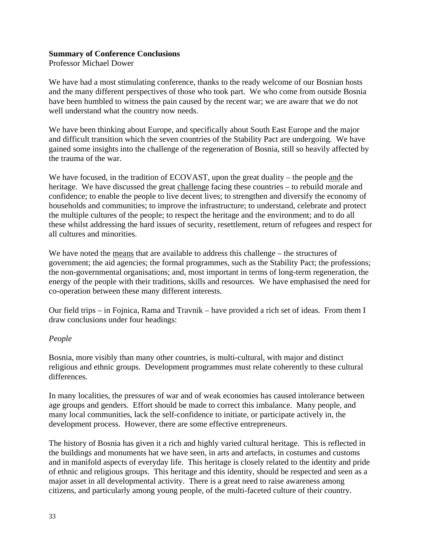#### **Summary of Conference Conclusions**

Professor Michael Dower

We have had a most stimulating conference, thanks to the ready welcome of our Bosnian hosts and the many different perspectives of those who took part. We who come from outside Bosnia have been humbled to witness the pain caused by the recent war; we are aware that we do not well understand what the country now needs.

We have been thinking about Europe, and specifically about South East Europe and the major and difficult transition which the seven countries of the Stability Pact are undergoing. We have gained some insights into the challenge of the regeneration of Bosnia, still so heavily affected by the trauma of the war.

We have focused, in the tradition of ECOVAST, upon the great duality – the people and the heritage. We have discussed the great challenge facing these countries – to rebuild morale and confidence; to enable the people to live decent lives; to strengthen and diversify the economy of households and communities; to improve the infrastructure; to understand, celebrate and protect the multiple cultures of the people; to respect the heritage and the environment; and to do all these whilst addressing the hard issues of security, resettlement, return of refugees and respect for all cultures and minorities.

We have noted the means that are available to address this challenge – the structures of government; the aid agencies; the formal programmes, such as the Stability Pact; the professions; the non-governmental organisations; and, most important in terms of long-term regeneration, the energy of the people with their traditions, skills and resources. We have emphasised the need for co-operation between these many different interests.

Our field trips – in Fojnica, Rama and Travnik – have provided a rich set of ideas. From them I draw conclusions under four headings:

## *People*

Bosnia, more visibly than many other countries, is multi-cultural, with major and distinct religious and ethnic groups. Development programmes must relate coherently to these cultural differences.

In many localities, the pressures of war and of weak economies has caused intolerance between age groups and genders. Effort should be made to correct this imbalance. Many people, and many local communities, lack the self-confidence to initiate, or participate actively in, the development process. However, there are some effective entrepreneurs.

The history of Bosnia has given it a rich and highly varied cultural heritage. This is reflected in the buildings and monuments hat we have seen, in arts and artefacts, in costumes and customs and in manifold aspects of everyday life. This heritage is closely related to the identity and pride of ethnic and religious groups. This heritage and this identity, should be respected and seen as a major asset in all developmental activity. There is a great need to raise awareness among citizens, and particularly among young people, of the multi-faceted culture of their country.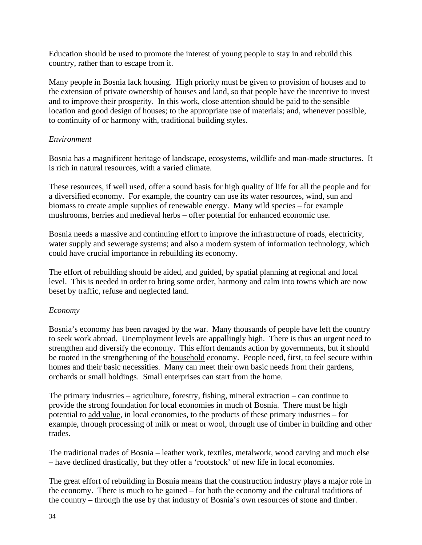Education should be used to promote the interest of young people to stay in and rebuild this country, rather than to escape from it.

Many people in Bosnia lack housing. High priority must be given to provision of houses and to the extension of private ownership of houses and land, so that people have the incentive to invest and to improve their prosperity. In this work, close attention should be paid to the sensible location and good design of houses; to the appropriate use of materials; and, whenever possible, to continuity of or harmony with, traditional building styles.

#### *Environment*

Bosnia has a magnificent heritage of landscape, ecosystems, wildlife and man-made structures. It is rich in natural resources, with a varied climate.

These resources, if well used, offer a sound basis for high quality of life for all the people and for a diversified economy. For example, the country can use its water resources, wind, sun and biomass to create ample supplies of renewable energy. Many wild species – for example mushrooms, berries and medieval herbs – offer potential for enhanced economic use.

Bosnia needs a massive and continuing effort to improve the infrastructure of roads, electricity, water supply and sewerage systems; and also a modern system of information technology, which could have crucial importance in rebuilding its economy.

The effort of rebuilding should be aided, and guided, by spatial planning at regional and local level. This is needed in order to bring some order, harmony and calm into towns which are now beset by traffic, refuse and neglected land.

## *Economy*

Bosnia's economy has been ravaged by the war. Many thousands of people have left the country to seek work abroad. Unemployment levels are appallingly high. There is thus an urgent need to strengthen and diversify the economy. This effort demands action by governments, but it should be rooted in the strengthening of the household economy. People need, first, to feel secure within homes and their basic necessities. Many can meet their own basic needs from their gardens, orchards or small holdings. Small enterprises can start from the home.

The primary industries – agriculture, forestry, fishing, mineral extraction – can continue to provide the strong foundation for local economies in much of Bosnia. There must be high potential to add value, in local economies, to the products of these primary industries – for example, through processing of milk or meat or wool, through use of timber in building and other trades.

The traditional trades of Bosnia – leather work, textiles, metalwork, wood carving and much else – have declined drastically, but they offer a 'rootstock' of new life in local economies.

The great effort of rebuilding in Bosnia means that the construction industry plays a major role in the economy. There is much to be gained – for both the economy and the cultural traditions of the country – through the use by that industry of Bosnia's own resources of stone and timber.